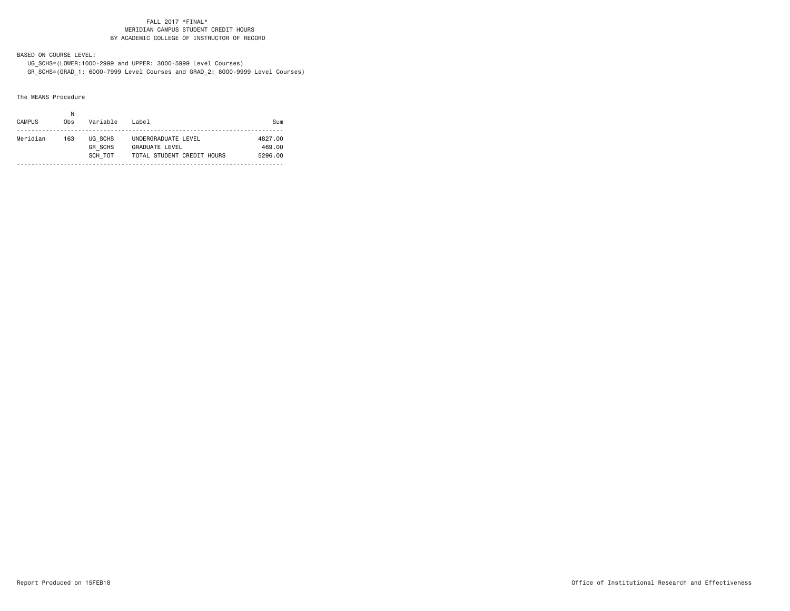### FALL 2017 \*FINAL\* MERIDIAN CAMPUS STUDENT CREDIT HOURSBY ACADEMIC COLLEGE OF INSTRUCTOR OF RECORD

BASED ON COURSE LEVEL:

 UG\_SCHS=(LOWER:1000-2999 and UPPER: 3000-5999 Level Courses) GR\_SCHS=(GRAD\_1: 6000-7999 Level Courses and GRAD\_2: 8000-9999 Level Courses)

The MEANS Procedure

| <b>CAMPUS</b> | Obs | Variable                             | Label                                                                      | Sum                          |
|---------------|-----|--------------------------------------|----------------------------------------------------------------------------|------------------------------|
| Meridian      | 163 | UG SCHS<br><b>GR SCHS</b><br>SCH TOT | UNDERGRADUATE LEVEL<br><b>GRADUATE LEVEL</b><br>TOTAL STUDENT CREDIT HOURS | 4827.00<br>469.00<br>5296.00 |
|               |     |                                      |                                                                            |                              |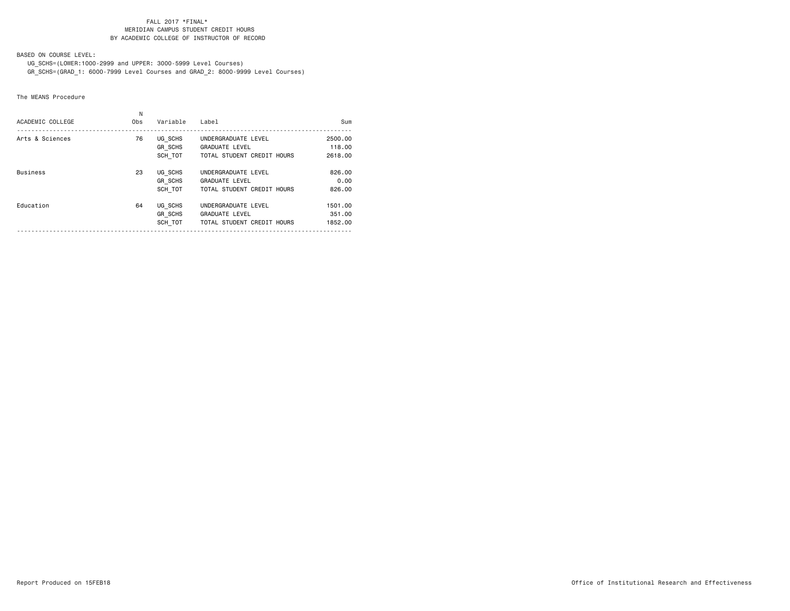### FALL 2017 \*FINAL\* MERIDIAN CAMPUS STUDENT CREDIT HOURSBY ACADEMIC COLLEGE OF INSTRUCTOR OF RECORD

BASED ON COURSE LEVEL:

 UG\_SCHS=(LOWER:1000-2999 and UPPER: 3000-5999 Level Courses) GR\_SCHS=(GRAD\_1: 6000-7999 Level Courses and GRAD\_2: 8000-9999 Level Courses)

The MEANS Procedure

| ACADEMIC COLLEGE | N<br>Obs | Variable       | Label                      | Sum     |
|------------------|----------|----------------|----------------------------|---------|
|                  |          |                |                            |         |
| Arts & Sciences  | 76       | UG SCHS        | UNDERGRADUATE LEVEL        | 2500.00 |
|                  |          | GR_SCHS        | <b>GRADUATE LEVEL</b>      | 118,00  |
|                  |          | SCH TOT        | TOTAL STUDENT CREDIT HOURS | 2618,00 |
| <b>Business</b>  | 23       | UG SCHS        | UNDERGRADUATE LEVEL        | 826,00  |
|                  |          | <b>GR SCHS</b> | <b>GRADUATE LEVEL</b>      | 0.00    |
|                  |          | SCH TOT        | TOTAL STUDENT CREDIT HOURS | 826,00  |
| Education        | 64       | UG SCHS        | UNDERGRADUATE LEVEL        | 1501.00 |
|                  |          | GR SCHS        | <b>GRADUATE LEVEL</b>      | 351.00  |
|                  |          | SCH TOT        | TOTAL STUDENT CREDIT HOURS | 1852.00 |
|                  |          |                |                            |         |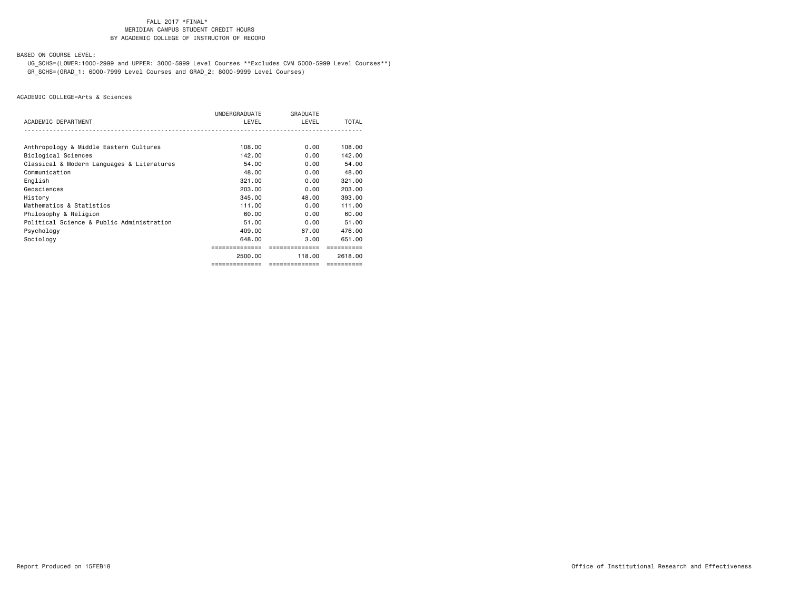### FALL 2017 \*FINAL\*MERIDIAN CAMPUS STUDENT CREDIT HOURS BY ACADEMIC COLLEGE OF INSTRUCTOR OF RECORD

BASED ON COURSE LEVEL:

 UG\_SCHS=(LOWER:1000-2999 and UPPER: 3000-5999 Level Courses \*\*Excludes CVM 5000-5999 Level Courses\*\*) GR\_SCHS=(GRAD\_1: 6000-7999 Level Courses and GRAD\_2: 8000-9999 Level Courses)

|                                            | UNDERGRADUATE  | GRADUATE       |            |
|--------------------------------------------|----------------|----------------|------------|
| ACADEMIC DEPARTMENT                        | LEVEL          | LEVEL          | TOTAL      |
|                                            |                |                |            |
| Anthropology & Middle Eastern Cultures     | 108,00         | 0.00           | 108,00     |
| Biological Sciences                        | 142.00         | 0.00           | 142.00     |
| Classical & Modern Languages & Literatures | 54.00          | 0.00           | 54.00      |
| Communication                              | 48.00          | 0.00           | 48.00      |
| English                                    | 321,00         | 0.00           | 321,00     |
| Geosciences                                | 203,00         | 0.00           | 203,00     |
| History                                    | 345,00         | 48.00          | 393,00     |
| Mathematics & Statistics                   | 111.00         | 0.00           | 111.00     |
| Philosophy & Religion                      | 60.00          | 0.00           | 60.00      |
| Political Science & Public Administration  | 51.00          | 0.00           | 51.00      |
| Psychology                                 | 409,00         | 67.00          | 476.00     |
| Sociology                                  | 648.00         | 3.00           | 651.00     |
|                                            |                | ===========    |            |
|                                            | 2500.00        | 118.00         | 2618,00    |
|                                            | ============== | ============== | ========== |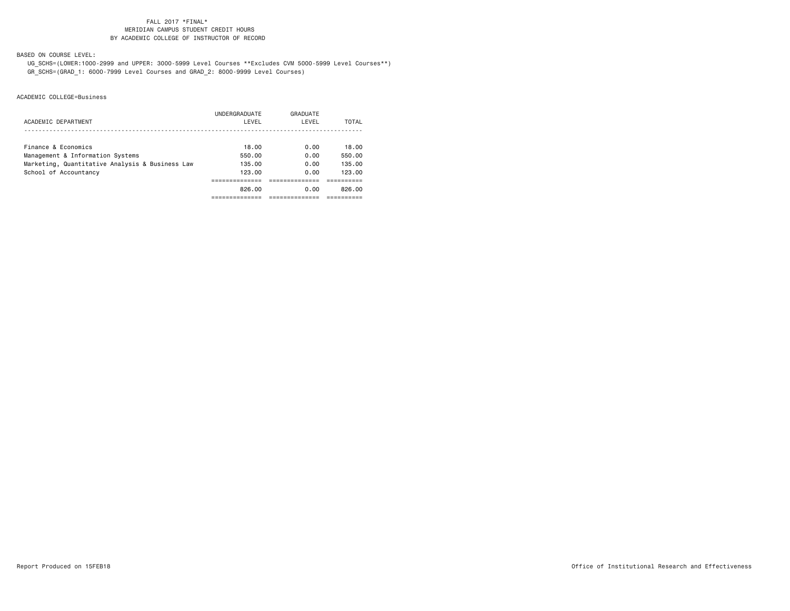### FALL 2017 \*FINAL\*MERIDIAN CAMPUS STUDENT CREDIT HOURS BY ACADEMIC COLLEGE OF INSTRUCTOR OF RECORD

BASED ON COURSE LEVEL:

 UG\_SCHS=(LOWER:1000-2999 and UPPER: 3000-5999 Level Courses \*\*Excludes CVM 5000-5999 Level Courses\*\*) GR\_SCHS=(GRAD\_1: 6000-7999 Level Courses and GRAD\_2: 8000-9999 Level Courses)

|                                                 | UNDERGRADUATE | GRADUATE |        |
|-------------------------------------------------|---------------|----------|--------|
| ACADEMIC DEPARTMENT                             | LEVEL         | LEVEL    | TOTAL  |
|                                                 |               |          |        |
| Finance & Economics                             | 18.00         | 0.00     | 18.00  |
| Management & Information Systems                | 550.00        | 0.00     | 550.00 |
| Marketing, Quantitative Analysis & Business Law | 135.00        | 0.00     | 135.00 |
| School of Accountancy                           | 123.00        | 0.00     | 123.00 |
|                                                 |               |          |        |
|                                                 | 826.00        | 0.00     | 826.00 |
|                                                 |               |          |        |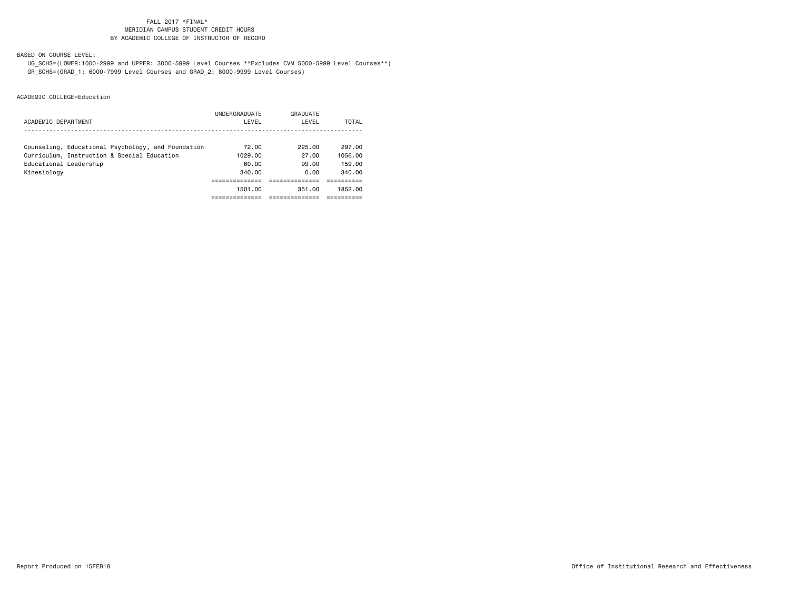### FALL 2017 \*FINAL\*MERIDIAN CAMPUS STUDENT CREDIT HOURS BY ACADEMIC COLLEGE OF INSTRUCTOR OF RECORD

BASED ON COURSE LEVEL:

 UG\_SCHS=(LOWER:1000-2999 and UPPER: 3000-5999 Level Courses \*\*Excludes CVM 5000-5999 Level Courses\*\*) GR\_SCHS=(GRAD\_1: 6000-7999 Level Courses and GRAD\_2: 8000-9999 Level Courses)

|                                                    | UNDERGRADUATE | GRADUATE |         |
|----------------------------------------------------|---------------|----------|---------|
| ACADEMIC DEPARTMENT                                | LEVEL         | LEVEL    | TOTAL   |
|                                                    |               |          |         |
| Counseling, Educational Psychology, and Foundation | 72.00         | 225.00   | 297.00  |
| Curriculum, Instruction & Special Education        | 1029.00       | 27.00    | 1056.00 |
| Educational Leadership                             | 60.00         | 99.00    | 159.00  |
| Kinesiology                                        | 340.00        | 0.00     | 340.00  |
|                                                    |               |          |         |
|                                                    | 1501.00       | 351.00   | 1852.00 |
|                                                    |               |          |         |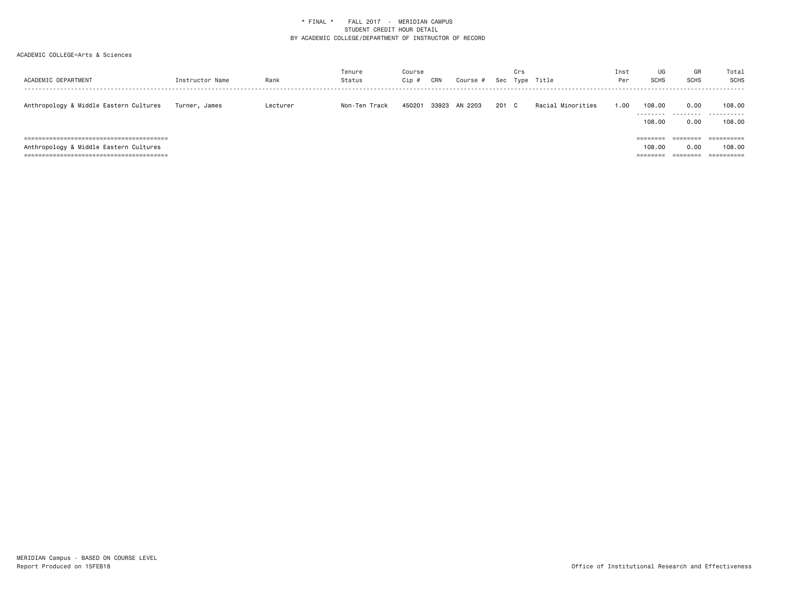| ACADEMIC DEPARTMENT                                                     | Instructor Name | Rank     | Tenure<br>Status | Course<br>Cip # | CRN   | Course # | Sec   | Crs | Type Title        | Inst<br>Per | UG<br><b>SCHS</b>                          | GR<br><b>SCHS</b>            | Total<br>SCHS         |
|-------------------------------------------------------------------------|-----------------|----------|------------------|-----------------|-------|----------|-------|-----|-------------------|-------------|--------------------------------------------|------------------------------|-----------------------|
| Anthropology & Middle Eastern Cultures                                  | Turner, James   | Lecturer | Non-Ten Track    | 450201          | 33923 | AN 2203  | 201 C |     | Racial Minorities | 1.00        | 108,00<br>.<br>108,00                      | 0.00<br>---------<br>0.00    | 108,00<br>.<br>108,00 |
| =============================<br>Anthropology & Middle Eastern Cultures |                 |          |                  |                 |       |          |       |     |                   |             | ========<br>108,00<br>--------<br>-------- | 0.00<br>--------<br>-------- | 108,00                |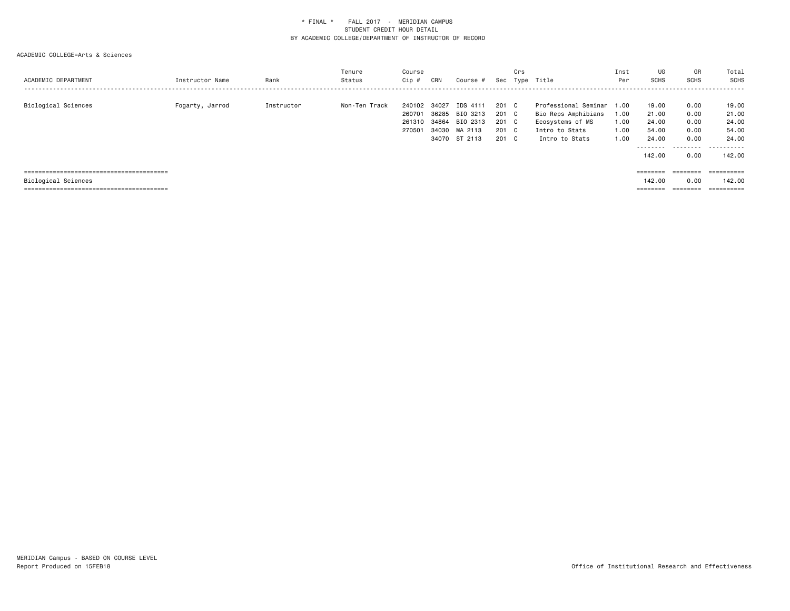| ACADEMIC DEPARTMENT | Instructor Name | Rank       | Tenure<br>Status | Course<br>Cip #                      | CRN                     | Course #                                                           | Sec                                       | Crs | Type Title                                                                                          | Inst<br>Per                          | UG<br><b>SCHS</b>                                                | GR<br>SCHS                                        | Total<br><b>SCHS</b><br>.                                        |
|---------------------|-----------------|------------|------------------|--------------------------------------|-------------------------|--------------------------------------------------------------------|-------------------------------------------|-----|-----------------------------------------------------------------------------------------------------|--------------------------------------|------------------------------------------------------------------|---------------------------------------------------|------------------------------------------------------------------|
| Biological Sciences | Fogarty, Jarrod | Instructor | Non-Ten Track    | 240102<br>260701<br>261310<br>270501 | 34027<br>36285<br>34864 | IDS 4111<br>BIO 3213<br>BIO 2313<br>34030 MA 2113<br>34070 ST 2113 | 201 C<br>201 C<br>201 C<br>201 C<br>201 C |     | Professional Seminar<br>Bio Reps Amphibians<br>Ecosystems of MS<br>Intro to Stats<br>Intro to Stats | 1.00<br>1.00<br>1.00<br>1.00<br>1.00 | 19.00<br>21.00<br>24.00<br>54.00<br>24.00<br>---------<br>142.00 | 0.00<br>0.00<br>0.00<br>0.00<br>0.00<br>.<br>0.00 | 19.00<br>21.00<br>24.00<br>54.00<br>24.00<br>.<br>$ -$<br>142.00 |
| Biological Sciences |                 |            |                  |                                      |                         |                                                                    |                                           |     |                                                                                                     |                                      | $=$ = = = = = = =<br>142.00<br>$=$ = = = = = = =                 | $=$ = = = = = = =<br>0.00<br>$=$ = = = = = = =    | $=$ = = = = = = = = =<br>142.00<br>-----------<br>----------     |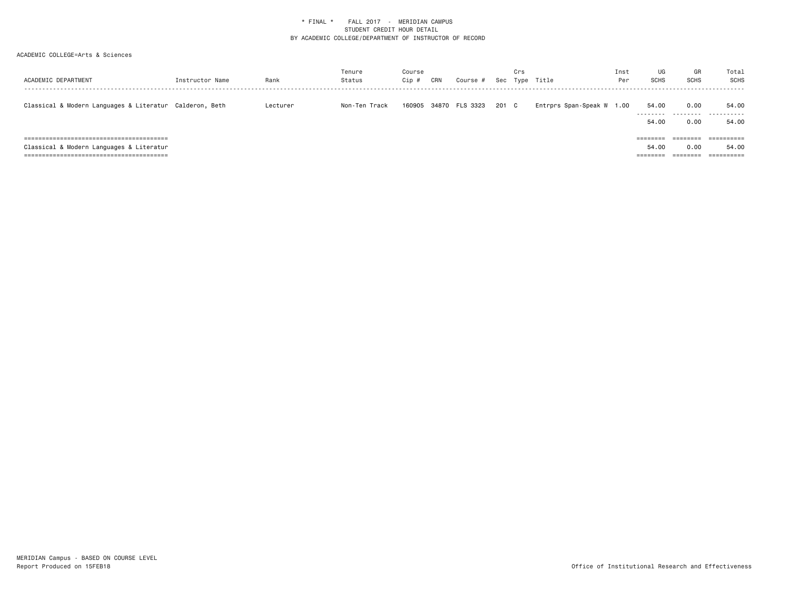| ACADEMIC DEPARTMENT                                                        | Instructor Name | Rank     | Tenure<br>Status | Course<br>Cip # | CRN | Course #       | Sec   | Crs | Type Title                | Inst<br>Per | UG<br><b>SCHS</b>             | GR<br><b>SCHS</b>            | Total<br>SCHS       |
|----------------------------------------------------------------------------|-----------------|----------|------------------|-----------------|-----|----------------|-------|-----|---------------------------|-------------|-------------------------------|------------------------------|---------------------|
| Classical & Modern Languages & Literatur Calderon, Beth                    |                 | Lecturer | Non-Ten Track    | 160905          |     | 34870 FLS 3323 | 201 C |     | Entrprs Span-Speak W 1.00 |             | 54.00<br>---------<br>54.00   | 0.00<br>---------<br>0.00    | 54.00<br>.<br>54.00 |
| ==============================<br>Classical & Modern Languages & Literatur |                 |          |                  |                 |     |                |       |     |                           |             | ========<br>54.00<br>-------- | 0.00<br>________<br>-------- | 54.00<br>========== |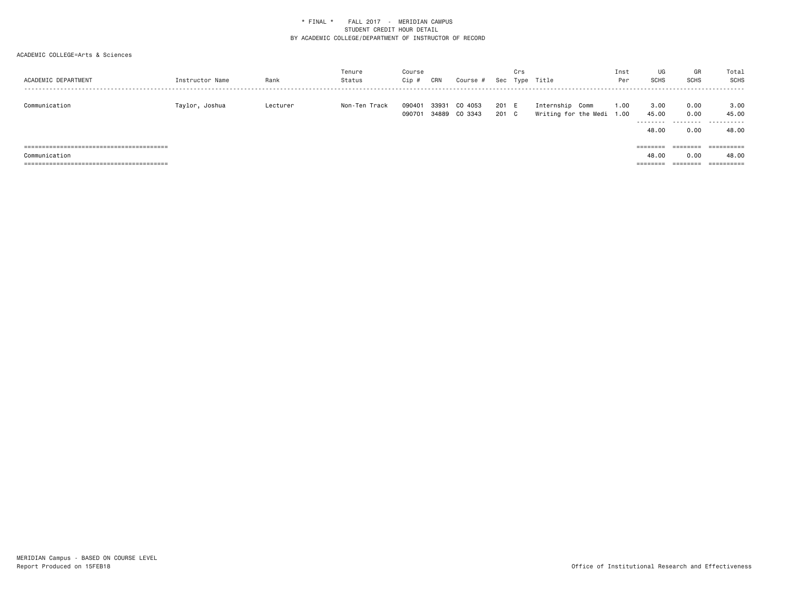| ACADEMIC DEPARTMENT | Instructor Name | Rank     | Tenure<br>Status | Course<br>Cip #  | CRN   | Course #                 |            | Crs      | Sec Type Title                               | Inst<br>Per | UG<br><b>SCHS</b>           | GR<br>SCHS                | Total<br>SCHS               |
|---------------------|-----------------|----------|------------------|------------------|-------|--------------------------|------------|----------|----------------------------------------------|-------------|-----------------------------|---------------------------|-----------------------------|
| Communication       | Taylor, Joshua  | Lecturer | Non-Ten Track    | 090401<br>090701 | 33931 | CO 4053<br>34889 CO 3343 | 201<br>201 | E<br>C . | Internship Comm<br>Writing for the Medi 1.00 | 1.00        | 3.00<br>45.00<br>.<br>48.00 | 0.00<br>0.00<br>.<br>0.00 | 3.00<br>45.00<br>.<br>48.00 |
|                     |                 |          |                  |                  |       |                          |            |          |                                              |             | ========                    | ========                  | ==========                  |
| Communication       |                 |          |                  |                  |       |                          |            |          |                                              |             | 48.00                       | 0.00                      | 48.00                       |
|                     |                 |          |                  |                  |       |                          |            |          |                                              |             | ========                    | ========                  |                             |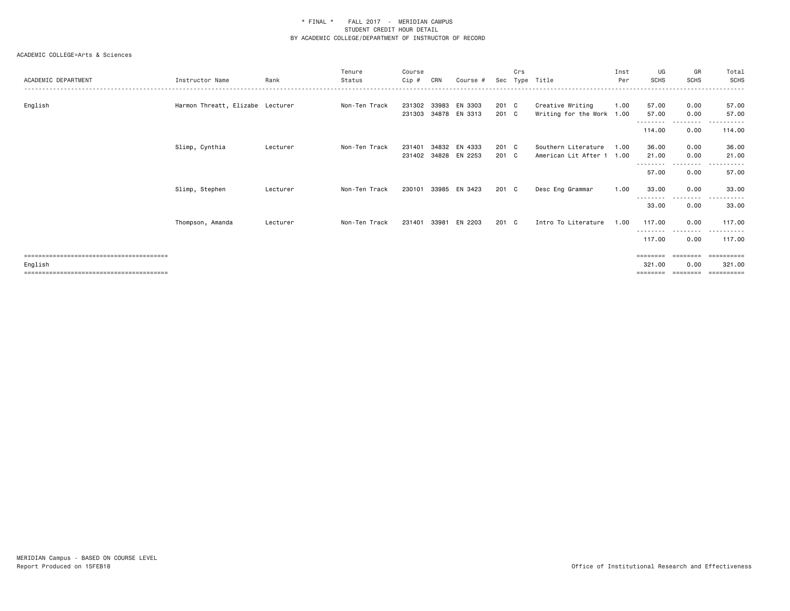| ACADEMIC DEPARTMENT                 | Instructor Name                  | Rank     | Tenure<br>Status | Course<br>Cip #  | CRN            | Course #                 | Sec            | Crs<br>Type | Title                                            | Inst<br>Per | UG<br>SCHS          | GR<br><b>SCHS</b>                                                                                                                 | Total<br><b>SCHS</b>                          |
|-------------------------------------|----------------------------------|----------|------------------|------------------|----------------|--------------------------|----------------|-------------|--------------------------------------------------|-------------|---------------------|-----------------------------------------------------------------------------------------------------------------------------------|-----------------------------------------------|
| English                             | Harmon Threatt, Elizabe Lecturer |          | Non-Ten Track    | 231302<br>231303 | 33983          | EN 3303<br>34878 EN 3313 | 201 C<br>201 C |             | Creative Writing<br>Writing for the Work 1.00    | 1.00        | 57.00<br>57.00      | 0.00<br>0.00                                                                                                                      | 57.00<br>57.00                                |
|                                     |                                  |          |                  |                  |                |                          |                |             |                                                  |             | --------<br>114.00  | $\cdots$<br>0.00                                                                                                                  | - - - - - -<br>114.00                         |
|                                     | Slimp, Cynthia                   | Lecturer | Non-Ten Track    | 231401<br>231402 | 34832<br>34828 | EN 4333<br>EN 2253       | 201 C<br>201 C |             | Southern Literature<br>American Lit After 1 1.00 | 1.00        | 36.00<br>21.00      | 0.00<br>0.00<br>--------                                                                                                          | 36.00<br>21.00                                |
|                                     |                                  |          |                  |                  |                |                          |                |             |                                                  |             | 57.00               | 0.00                                                                                                                              | 57.00                                         |
|                                     | Slimp, Stephen                   | Lecturer | Non-Ten Track    | 230101           |                | 33985 EN 3423            | 201 C          |             | Desc Eng Grammar                                 | 1.00        | 33.00               | 0.00<br>$\cdots$                                                                                                                  | 33.00                                         |
|                                     |                                  |          |                  |                  |                |                          |                |             |                                                  |             | 33.00               | 0.00                                                                                                                              | 33.00                                         |
|                                     | Thompson, Amanda                 | Lecturer | Non-Ten Track    | 231401 33981     |                | EN 2203                  | 201 C          |             | Intro To Literature                              | 1.00        | 117.00<br>--------- | 0.00<br>$\frac{1}{2} \left( \frac{1}{2} \right) \left( \frac{1}{2} \right) \left( \frac{1}{2} \right) \left( \frac{1}{2} \right)$ | 117.00<br>.                                   |
|                                     |                                  |          |                  |                  |                |                          |                |             |                                                  |             | 117.00              | 0.00                                                                                                                              | 117.00                                        |
| English<br>------------------------ |                                  |          |                  |                  |                |                          |                |             |                                                  |             | 321,00<br>========  | ========<br>0.00                                                                                                                  | ==========<br>321,00<br>$=$ = = = = = = = = = |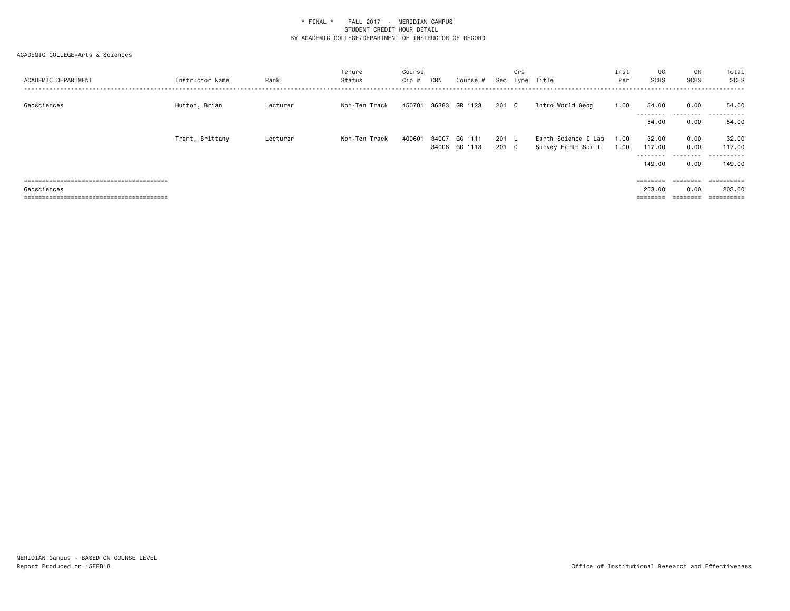| ACADEMIC DEPARTMENT | Instructor Name | Rank     | Tenure<br>Status | Course<br>Cip# | CRN   | Course #      |       | Crs | Sec Type Title      | Inst<br>Per | UG<br><b>SCHS</b>  | GR<br><b>SCHS</b> | Total<br>SCHS |
|---------------------|-----------------|----------|------------------|----------------|-------|---------------|-------|-----|---------------------|-------------|--------------------|-------------------|---------------|
| Geosciences         | Hutton, Brian   | Lecturer | Non-Ten Track    | 450701         |       | 36383 GR 1123 | 201 C |     | Intro World Geog    | 1.00        | 54.00<br>--------- | 0.00<br>.         | 54.00<br>.    |
|                     |                 |          |                  |                |       |               |       |     |                     |             | 54.00              | 0.00              | 54.00         |
|                     | Trent, Brittany | Lecturer | Non-Ten Track    | 400601         | 34007 | GG 1111       | 201 L |     | Earth Science I Lab | 1.00        | 32.00              | 0.00              | 32.00         |
|                     |                 |          |                  |                |       | 34008 GG 1113 | 201 C |     | Survey Earth Sci I  | 1.00        | 117.00             | 0.00              | 117.00        |
|                     |                 |          |                  |                |       |               |       |     |                     |             | ---------          | .                 | .             |
|                     |                 |          |                  |                |       |               |       |     |                     |             | 149.00             | 0.00              | 149.00        |
|                     |                 |          |                  |                |       |               |       |     |                     |             |                    | ========          | ==========    |
| Geosciences         |                 |          |                  |                |       |               |       |     |                     |             | 203.00             | 0.00              | 203.00        |
|                     |                 |          |                  |                |       |               |       |     |                     |             | ========           | ========          | ==========    |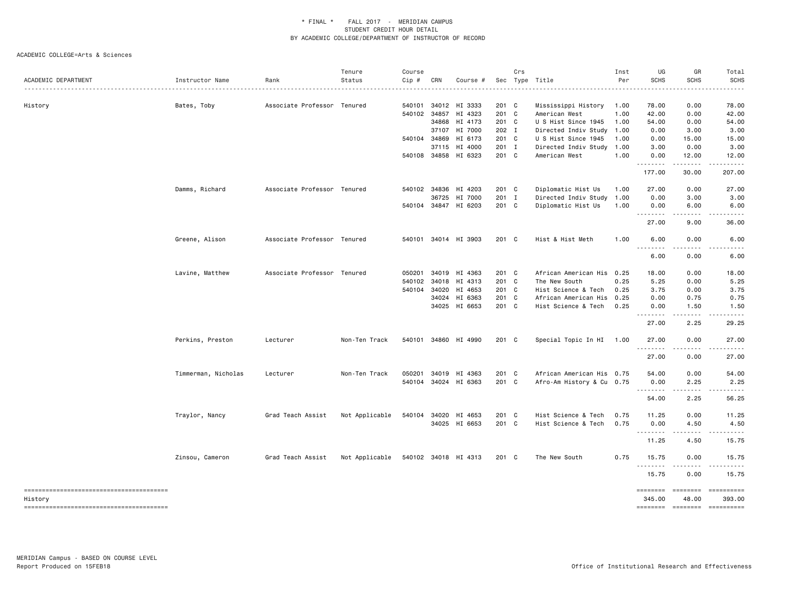|                     |                     |                             | Tenure                              | Course |       |                      |       | Crs |                           | Inst | UG                | GR                                                                                                                        | Total                                                                                                                             |
|---------------------|---------------------|-----------------------------|-------------------------------------|--------|-------|----------------------|-------|-----|---------------------------|------|-------------------|---------------------------------------------------------------------------------------------------------------------------|-----------------------------------------------------------------------------------------------------------------------------------|
| ACADEMIC DEPARTMENT | Instructor Name     | Rank                        | Status                              | Cip #  | CRN   | Course #             |       |     | Sec Type Title<br>.       | Per  | <b>SCHS</b>       | <b>SCHS</b>                                                                                                               | <b>SCHS</b>                                                                                                                       |
| History             | Bates, Toby         | Associate Professor Tenured |                                     | 540101 |       | 34012 HI 3333        | 201 C |     | Mississippi History       | 1.00 | 78.00             | 0.00                                                                                                                      | 78.00                                                                                                                             |
|                     |                     |                             |                                     | 540102 |       | 34857 HI 4323        | 201 C |     | American West             | 1.00 | 42.00             | 0.00                                                                                                                      | 42.00                                                                                                                             |
|                     |                     |                             |                                     |        |       | 34868 HI 4173        | 201 C |     | U S Hist Since 1945       | 1.00 | 54.00             | 0.00                                                                                                                      | 54.00                                                                                                                             |
|                     |                     |                             |                                     |        |       | 37107 HI 7000        | 202 I |     | Directed Indiv Study 1.00 |      | 0.00              | 3.00                                                                                                                      | 3.00                                                                                                                              |
|                     |                     |                             |                                     | 540104 | 34869 | HI 6173              | 201 C |     | U S Hist Since 1945       | 1.00 | 0.00              | 15.00                                                                                                                     | 15.00                                                                                                                             |
|                     |                     |                             |                                     |        | 37115 | HI 4000              | 201 I |     | Directed Indiv Study      | 1.00 | 3.00              | 0.00                                                                                                                      | 3.00                                                                                                                              |
|                     |                     |                             |                                     |        |       | 540108 34858 HI 6323 | 201 C |     | American West             | 1.00 | 0.00              | 12.00                                                                                                                     | 12.00<br>.                                                                                                                        |
|                     |                     |                             |                                     |        |       |                      |       |     |                           |      | .<br>177.00       | -----<br>30.00                                                                                                            | 207.00                                                                                                                            |
|                     | Damms, Richard      | Associate Professor Tenured |                                     | 540102 |       | 34836 HI 4203        | 201 C |     | Diplomatic Hist Us        | 1.00 | 27.00             | 0.00                                                                                                                      | 27.00                                                                                                                             |
|                     |                     |                             |                                     |        | 36725 | HI 7000              | 201 I |     | Directed Indiv Study      | 1.00 | 0.00              | 3.00                                                                                                                      | 3.00                                                                                                                              |
|                     |                     |                             |                                     |        |       | 540104 34847 HI 6203 | 201 C |     | Diplomatic Hist Us        | 1.00 | 0.00<br><u>.</u>  | 6.00<br>.                                                                                                                 | 6.00<br>.                                                                                                                         |
|                     |                     |                             |                                     |        |       |                      |       |     |                           |      | 27.00             | 9.00                                                                                                                      | 36.00                                                                                                                             |
|                     | Greene, Alison      | Associate Professor Tenured |                                     | 540101 |       | 34014 HI 3903        | 201 C |     | Hist & Hist Meth          | 1.00 | 6.00<br>.         | 0.00<br>.                                                                                                                 | 6.00<br>$\frac{1}{2} \left( \frac{1}{2} \right) \left( \frac{1}{2} \right) \left( \frac{1}{2} \right) \left( \frac{1}{2} \right)$ |
|                     |                     |                             |                                     |        |       |                      |       |     |                           |      | 6.00              | 0.00                                                                                                                      | 6.00                                                                                                                              |
|                     | Lavine, Matthew     | Associate Professor         | Tenured                             | 050201 |       | 34019 HI 4363        | 201 C |     | African American His 0.25 |      | 18.00             | 0.00                                                                                                                      | 18.00                                                                                                                             |
|                     |                     |                             |                                     | 540102 | 34018 | HI 4313              | 201 C |     | The New South             | 0.25 | 5.25              | 0.00                                                                                                                      | 5.25                                                                                                                              |
|                     |                     |                             |                                     | 540104 | 34020 | HI 4653              | 201 C |     | Hist Science & Tech       | 0.25 | 3.75              | 0.00                                                                                                                      | 3.75                                                                                                                              |
|                     |                     |                             |                                     |        |       | 34024 HI 6363        | 201 C |     | African American His      | 0.25 | 0.00              | 0.75                                                                                                                      | 0.75                                                                                                                              |
|                     |                     |                             |                                     |        |       | 34025 HI 6653        | 201 C |     | Hist Science & Tech       | 0.25 | 0.00<br><u>.</u>  | 1.50<br>.                                                                                                                 | 1.50<br>.                                                                                                                         |
|                     |                     |                             |                                     |        |       |                      |       |     |                           |      | 27.00             | 2.25                                                                                                                      | 29.25                                                                                                                             |
|                     | Perkins, Preston    | Lecturer                    | Non-Ten Track                       |        |       | 540101 34860 HI 4990 | 201 C |     | Special Topic In HI       | 1.00 | 27.00<br>.        | 0.00<br>.                                                                                                                 | 27.00<br>.                                                                                                                        |
|                     |                     |                             |                                     |        |       |                      |       |     |                           |      | 27.00             | 0.00                                                                                                                      | 27.00                                                                                                                             |
|                     | Timmerman, Nicholas | Lecturer                    | Non-Ten Track                       | 050201 |       | 34019 HI 4363        | 201 C |     | African American His 0.75 |      | 54.00             | 0.00                                                                                                                      | 54.00                                                                                                                             |
|                     |                     |                             |                                     |        |       | 540104 34024 HI 6363 | 201 C |     | Afro-Am History & Cu 0.75 |      | 0.00              | 2.25                                                                                                                      | 2.25                                                                                                                              |
|                     |                     |                             |                                     |        |       |                      |       |     |                           |      | .                 | $\frac{1}{2} \left( \frac{1}{2} \right) \left( \frac{1}{2} \right) \left( \frac{1}{2} \right) \left( \frac{1}{2} \right)$ |                                                                                                                                   |
|                     |                     |                             |                                     |        |       |                      |       |     |                           |      | 54.00             | 2.25                                                                                                                      | 56.25                                                                                                                             |
|                     | Traylor, Nancy      | Grad Teach Assist           | Not Applicable                      | 540104 |       | 34020 HI 4653        | 201 C |     | Hist Science & Tech       | 0.75 | 11.25             | 0.00                                                                                                                      | 11.25                                                                                                                             |
|                     |                     |                             |                                     |        |       | 34025 HI 6653        | 201 C |     | Hist Science & Tech       | 0.75 | 0.00<br>.         | 4.50<br>.                                                                                                                 | 4.50<br>.                                                                                                                         |
|                     |                     |                             |                                     |        |       |                      |       |     |                           |      | 11.25             | 4.50                                                                                                                      | 15.75                                                                                                                             |
|                     | Zinsou, Cameron     | Grad Teach Assist           | Not Applicable 540102 34018 HI 4313 |        |       |                      | 201 C |     | The New South             | 0.75 | 15.75<br><u>.</u> | 0.00                                                                                                                      | 15.75                                                                                                                             |
|                     |                     |                             |                                     |        |       |                      |       |     |                           |      | 15.75             | 0.00                                                                                                                      | 15.75                                                                                                                             |
|                     |                     |                             |                                     |        |       |                      |       |     |                           |      | ========          | <b>EDEDEDED</b>                                                                                                           |                                                                                                                                   |
| History             |                     |                             |                                     |        |       |                      |       |     |                           |      | 345.00            | 48.00                                                                                                                     | 393.00                                                                                                                            |
|                     |                     |                             |                                     |        |       |                      |       |     |                           |      |                   |                                                                                                                           | ======== ======== ==========                                                                                                      |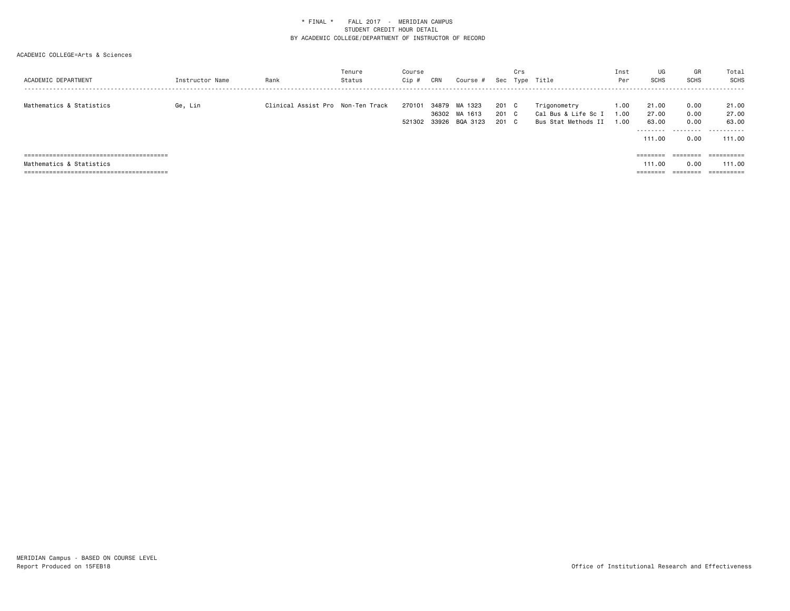| Instructor Name | Rank | Tenure<br>Status | Course<br>Cip #                   | CRN | Course #            |                                 | Crs |                                                            | Inst<br>Per          | UG<br>SCHS                           | GR<br>SCHS                | Total<br>SCHS                          |
|-----------------|------|------------------|-----------------------------------|-----|---------------------|---------------------------------|-----|------------------------------------------------------------|----------------------|--------------------------------------|---------------------------|----------------------------------------|
| Ge, Lin         |      |                  | 270101                            |     | MA 1323<br>BQA 3123 |                                 |     | Trigonometry<br>Cal Bus & Life Sc I<br>Bus Stat Methods II | 1.00<br>1.00<br>1.00 | 21.00<br>27.00<br>63.00<br>--------- | 0.00<br>0.00<br>0.00<br>. | 21.00<br>27.00<br>63.00<br>.<br>111.00 |
|                 |      |                  |                                   |     |                     |                                 |     |                                                            |                      |                                      |                           | ==========                             |
|                 |      |                  |                                   |     |                     |                                 |     |                                                            |                      | 111.00                               | 0.00                      | 111.00<br>==========                   |
|                 |      |                  | Clinical Assist Pro Non-Ten Track |     | 521302              | 34879<br>36302 MA 1613<br>33926 |     | 201 C<br>201 C<br>201 C                                    | Sec Type Title       |                                      | 111.00<br>========        | 0.00                                   |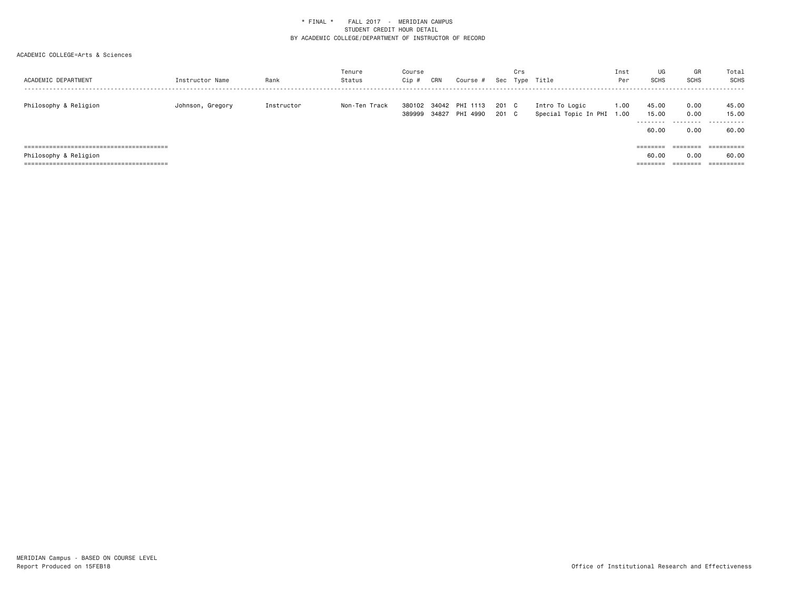| ACADEMIC DEPARTMENT   | Instructor Name  | Rank       | Tenure<br>Status | Course<br>Cip #  | CRN | Course #                         |              | Crs | Sec Type Title                              | Inst<br>Per      | UG<br>SCHS                           | GR<br><b>SCHS</b>         | Total<br>SCHS                                  |
|-----------------------|------------------|------------|------------------|------------------|-----|----------------------------------|--------------|-----|---------------------------------------------|------------------|--------------------------------------|---------------------------|------------------------------------------------|
| Philosophy & Religion | Johnson, Gregory | Instructor | Non-Ten Track    | 380102<br>389999 |     | 34042 PHI 1113<br>34827 PHI 4990 | 201 C<br>201 | C   | Intro To Logic<br>Special Topic In PHI 1.00 | $\overline{0}$ . | 45.00<br>15.00<br>---------<br>60.00 | 0.00<br>0.00<br>.<br>0.00 | 45.00<br>15.00<br>. <u>.</u> .<br>---<br>60.00 |
|                       |                  |            |                  |                  |     |                                  |              |     |                                             |                  | ========                             | ========                  | ==========                                     |
| Philosophy & Religion |                  |            |                  |                  |     |                                  |              |     |                                             |                  | 60.00                                | 0.00                      | 60.00                                          |
|                       |                  |            |                  |                  |     |                                  |              |     |                                             |                  | --------                             | ========                  | ==========                                     |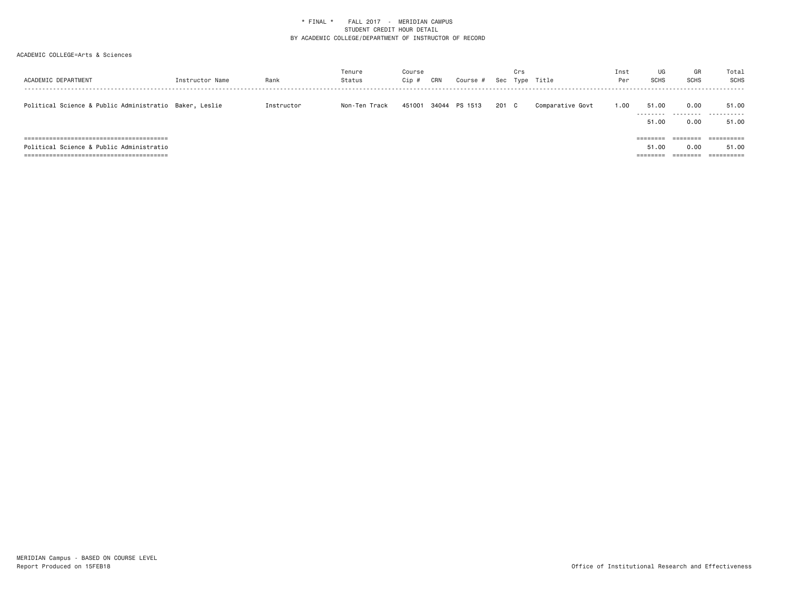| ACADEMIC DEPARTMENT                                    | Instructor Name | Rank       | Tenure<br>Status | Course<br>Cip # | CRN | Course #      |       | Crs | Sec Type Title   | Inst<br>Per | UG<br><b>SCHS</b>            | GR<br><b>SCHS</b>            | Total<br>SCHS                                |
|--------------------------------------------------------|-----------------|------------|------------------|-----------------|-----|---------------|-------|-----|------------------|-------------|------------------------------|------------------------------|----------------------------------------------|
| Political Science & Public Administratio Baker, Leslie |                 | Instructor | Non-Ten Track    | 451001          |     | 34044 PS 1513 | 201 C |     | Comparative Govt | 1.00        | 51.00<br>51.00               | 0.00<br>0.00                 | 51.00<br><br>51.00                           |
| Political Science & Public Administratio               |                 |            |                  |                 |     |               |       |     |                  |             | ========<br>51.00<br>======= | ========<br>0.00<br>======== | $=$ = = = = = = = = =<br>51.00<br>========== |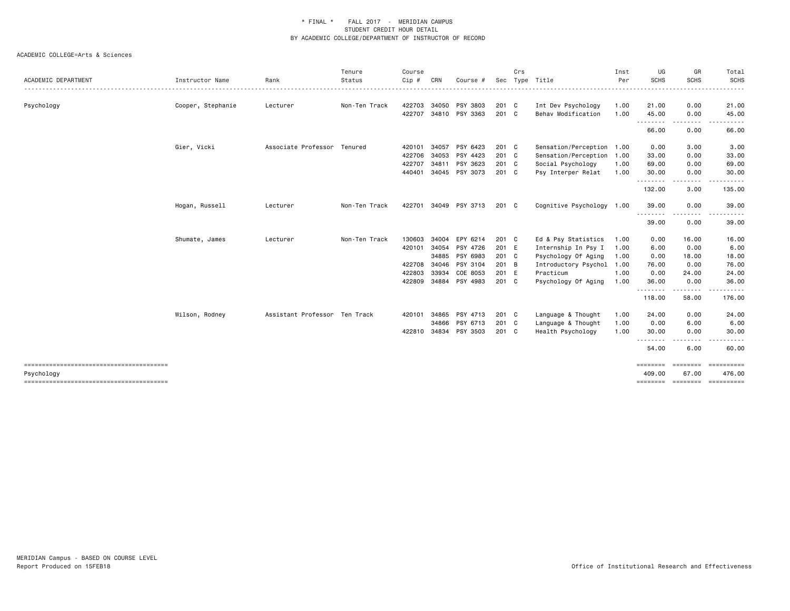|                     |                   |                               | Tenure        | Course |       |                |         | Crs |                           | Inst         | UG                         | GR                       | Total                                                                                                                                                         |
|---------------------|-------------------|-------------------------------|---------------|--------|-------|----------------|---------|-----|---------------------------|--------------|----------------------------|--------------------------|---------------------------------------------------------------------------------------------------------------------------------------------------------------|
| ACADEMIC DEPARTMENT | Instructor Name   | Rank                          | Status        | Cip#   | CRN   | Course         | Sec     |     | Type Title                | Per<br>----- | <b>SCHS</b>                | <b>SCHS</b>              | <b>SCHS</b><br>. <b>.</b> .                                                                                                                                   |
| Psychology          | Cooper, Stephanie | Lecturer                      | Non-Ten Track | 422703 |       | 34050 PSY 3803 | 201 C   |     | Int Dev Psychology        | 1.00         | 21.00                      | 0.00                     | 21.00                                                                                                                                                         |
|                     |                   |                               |               | 422707 |       | 34810 PSY 3363 | $201$ C |     | Behav Modification        | 1.00         | 45.00                      | 0.00                     | 45.00                                                                                                                                                         |
|                     |                   |                               |               |        |       |                |         |     |                           |              | .<br>66.00                 | --------<br>0.00         | .<br>66.00                                                                                                                                                    |
|                     | Gier, Vicki       | Associate Professor Tenured   |               | 420101 | 34057 | PSY 6423       | $201$ C |     | Sensation/Perception 1.00 |              | 0.00                       | 3.00                     | 3.00                                                                                                                                                          |
|                     |                   |                               |               | 422706 | 34053 | PSY 4423       | 201 C   |     | Sensation/Perception 1.00 |              | 33.00                      | 0.00                     | 33.00                                                                                                                                                         |
|                     |                   |                               |               | 422707 | 34811 | PSY 3623       | 201 C   |     | Social Psychology         | 1.00         | 69.00                      | 0.00                     | 69.00                                                                                                                                                         |
|                     |                   |                               |               | 440401 | 34045 | PSY 3073       | 201 C   |     | Psy Interper Relat        | 1.00         | 30.00<br>. <b>.</b> .      | 0.00<br>.                | 30.00                                                                                                                                                         |
|                     |                   |                               |               |        |       |                |         |     |                           |              | 132.00                     | 3.00                     | 135.00                                                                                                                                                        |
|                     | Hogan, Russell    | Lecturer                      | Non-Ten Track | 422701 |       | 34049 PSY 3713 | 201 C   |     | Cognitive Psychology 1.00 |              | 39.00                      | 0.00                     | 39.00                                                                                                                                                         |
|                     |                   |                               |               |        |       |                |         |     |                           |              | - - - - - - - - -<br>39.00 | -----<br>0.00            | .<br>39.00                                                                                                                                                    |
|                     | Shumate, James    | Lecturer                      | Non-Ten Track | 130603 | 34004 | EPY 6214       | 201 C   |     | Ed & Psy Statistics       | 1.00         | 0.00                       | 16.00                    | 16.00                                                                                                                                                         |
|                     |                   |                               |               | 420101 | 34054 | PSY 4726       | 201 E   |     | Internship In Psy I       | 1.00         | 6.00                       | 0.00                     | 6.00                                                                                                                                                          |
|                     |                   |                               |               |        | 34885 | PSY 6983       | 201 C   |     | Psychology Of Aging       | 1.00         | 0.00                       | 18.00                    | 18.00                                                                                                                                                         |
|                     |                   |                               |               | 422708 | 34046 | PSY 3104       | 201 B   |     | Introductory Psychol      | 1.00         | 76.00                      | 0.00                     | 76.00                                                                                                                                                         |
|                     |                   |                               |               | 422803 | 33934 | COE 8053       | 201 E   |     | Practicum                 | 1.00         | 0.00                       | 24.00                    | 24.00                                                                                                                                                         |
|                     |                   |                               |               | 422809 |       | 34884 PSY 4983 | 201 C   |     | Psychology Of Aging       | 1.00         | 36.00                      | 0.00<br>.                | 36.00<br>$\frac{1}{2} \left( \frac{1}{2} \right) \left( \frac{1}{2} \right) \left( \frac{1}{2} \right) \left( \frac{1}{2} \right) \left( \frac{1}{2} \right)$ |
|                     |                   |                               |               |        |       |                |         |     |                           |              | -------<br>118.00          | 58.00                    | 176.00                                                                                                                                                        |
|                     | Wilson, Rodney    | Assistant Professor Ten Track |               | 420101 | 34865 | PSY 4713       | 201 C   |     | Language & Thought        | 1.00         | 24.00                      | 0.00                     | 24.00                                                                                                                                                         |
|                     |                   |                               |               |        | 34866 | PSY 6713       | 201 C   |     | Language & Thought        | 1.00         | 0.00                       | 6.00                     | 6.00                                                                                                                                                          |
|                     |                   |                               |               | 422810 | 34834 | PSY 3503       | 201 C   |     | Health Psychology         | 1.00         | 30.00                      | 0.00                     | 30.00                                                                                                                                                         |
|                     |                   |                               |               |        |       |                |         |     |                           |              | - - - - - - - -<br>54.00   | $\frac{1}{2}$<br>6.00    | 60.00                                                                                                                                                         |
| Psychology          |                   |                               |               |        |       |                |         |     |                           |              | ========<br>409.00         | <b>CONSIGNS</b><br>67.00 | ==========<br>476.00                                                                                                                                          |
|                     |                   |                               |               |        |       |                |         |     |                           |              | ======== =======           |                          | ==========                                                                                                                                                    |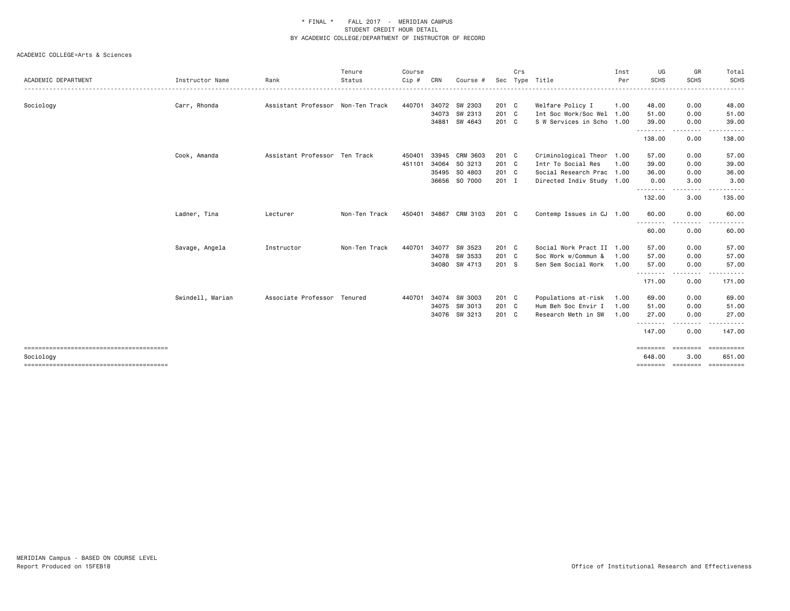|                     |                  |                                   | Tenure        | Course |       |                |               | Crs |                           | Inst | UG                                                                                                                                 | GR                                                                                                                                                           | Total                                     |
|---------------------|------------------|-----------------------------------|---------------|--------|-------|----------------|---------------|-----|---------------------------|------|------------------------------------------------------------------------------------------------------------------------------------|--------------------------------------------------------------------------------------------------------------------------------------------------------------|-------------------------------------------|
| ACADEMIC DEPARTMENT | Instructor Name  | Rank                              | Status        | Cip #  | CRN   | Course #       | Sec           |     | Type Title                | Per  | <b>SCHS</b>                                                                                                                        | <b>SCHS</b>                                                                                                                                                  | <b>SCHS</b>                               |
| Sociology           | Carr, Rhonda     | Assistant Professor Non-Ten Track |               | 440701 | 34072 | SW 2303        | 201 C         |     | Welfare Policy I          | 1.00 | 48.00                                                                                                                              | 0.00                                                                                                                                                         | 48.00                                     |
|                     |                  |                                   |               |        | 34073 | SW 2313        | 201 C         |     | Int Soc Work/Soc Wel 1.00 |      | 51.00                                                                                                                              | 0.00                                                                                                                                                         | 51.00                                     |
|                     |                  |                                   |               |        |       | 34881 SW 4643  | 201 C         |     | S W Services in Scho 1.00 |      | 39.00<br>.                                                                                                                         | 0.00<br>$\frac{1}{2} \left( \frac{1}{2} \right) \left( \frac{1}{2} \right) \left( \frac{1}{2} \right) \left( \frac{1}{2} \right)$                            | 39.00                                     |
|                     |                  |                                   |               |        |       |                |               |     |                           |      | 138.00                                                                                                                             | 0.00                                                                                                                                                         | 138.00                                    |
|                     | Cook, Amanda     | Assistant Professor Ten Track     |               | 450401 | 33945 | CRM 3603       | 201 C         |     | Criminological Theor 1.00 |      | 57.00                                                                                                                              | 0.00                                                                                                                                                         | 57.00                                     |
|                     |                  |                                   |               | 451101 | 34064 | SO 3213        | 201 C         |     | Intr To Social Res        | 1.00 | 39.00                                                                                                                              | 0.00                                                                                                                                                         | 39.00                                     |
|                     |                  |                                   |               |        | 35495 | SO 4803        | 201 C         |     | Social Research Prac 1.00 |      | 36.00                                                                                                                              | 0.00                                                                                                                                                         | 36.00                                     |
|                     |                  |                                   |               |        |       | 36656 SO 7000  | $201$ I       |     | Directed Indiv Study 1.00 |      | 0.00<br>.                                                                                                                          | 3.00<br>. <b>.</b>                                                                                                                                           | 3.00<br>. <b>.</b> .                      |
|                     |                  |                                   |               |        |       |                |               |     |                           |      | 132.00                                                                                                                             | 3.00                                                                                                                                                         | 135.00                                    |
|                     | Ladner, Tina     | Lecturer                          | Non-Ten Track | 450401 |       | 34867 CRM 3103 | $201 \quad C$ |     | Contemp Issues in CJ 1.00 |      | 60.00                                                                                                                              | 0.00                                                                                                                                                         | 60.00                                     |
|                     |                  |                                   |               |        |       |                |               |     |                           |      | $\frac{1}{2} \left( \frac{1}{2} \right) \left( \frac{1}{2} \right) \left( \frac{1}{2} \right) \left( \frac{1}{2} \right)$<br>60.00 | $\frac{1}{2}$<br>0.00                                                                                                                                        | 60.00                                     |
|                     | Savage, Angela   | Instructor                        | Non-Ten Track | 440701 | 34077 | SW 3523        | 201 C         |     | Social Work Pract II 1.00 |      | 57.00                                                                                                                              | 0.00                                                                                                                                                         | 57.00                                     |
|                     |                  |                                   |               |        |       | 34078 SW 3533  | 201 C         |     | Soc Work w/Commun &       | 1.00 | 57.00                                                                                                                              | 0.00                                                                                                                                                         | 57.00                                     |
|                     |                  |                                   |               |        |       | 34080 SW 4713  | 201 S         |     | Sen Sem Social Work       | 1.00 | 57.00<br>.                                                                                                                         | 0.00<br>.                                                                                                                                                    | 57.00<br>.                                |
|                     |                  |                                   |               |        |       |                |               |     |                           |      | 171.00                                                                                                                             | 0.00                                                                                                                                                         | 171.00                                    |
|                     | Swindell, Marian | Associate Professor Tenured       |               | 440701 | 34074 | SW 3003        | 201 C         |     | Populations at-risk       | 1.00 | 69.00                                                                                                                              | 0.00                                                                                                                                                         | 69.00                                     |
|                     |                  |                                   |               |        | 34075 | SW 3013        | 201 C         |     | Hum Beh Soc Envir I       | 1.00 | 51.00                                                                                                                              | 0.00                                                                                                                                                         | 51.00                                     |
|                     |                  |                                   |               |        |       | 34076 SW 3213  | 201 C         |     | Research Meth in SW       | 1.00 | 27.00                                                                                                                              | 0.00                                                                                                                                                         | 27.00                                     |
|                     |                  |                                   |               |        |       |                |               |     |                           |      | ---------<br>147.00                                                                                                                | $\frac{1}{2} \left( \frac{1}{2} \right) \left( \frac{1}{2} \right) \left( \frac{1}{2} \right) \left( \frac{1}{2} \right) \left( \frac{1}{2} \right)$<br>0.00 | .<br>147.00                               |
|                     |                  |                                   |               |        |       |                |               |     |                           |      | ========                                                                                                                           | ========                                                                                                                                                     | -----------                               |
| Sociology           |                  |                                   |               |        |       |                |               |     |                           |      | 648.00                                                                                                                             | 3.00                                                                                                                                                         | 651.00<br>=============================== |
|                     |                  |                                   |               |        |       |                |               |     |                           |      |                                                                                                                                    |                                                                                                                                                              |                                           |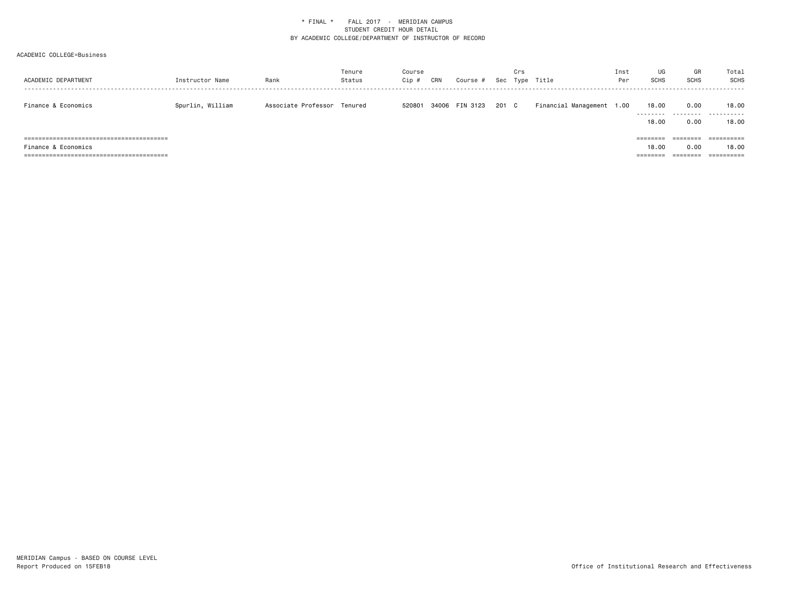| ACADEMIC DEPARTMENT                                     | Instructor Name  | Rank                        | Tenure<br>Status | Course<br>Cip # | CRN | Course #       |       | Crs | Sec Type Title            | Inst<br>Per | UG<br><b>SCHS</b>                                                                            | GR<br><b>SCHS</b> | Total<br>SCHS                                |
|---------------------------------------------------------|------------------|-----------------------------|------------------|-----------------|-----|----------------|-------|-----|---------------------------|-------------|----------------------------------------------------------------------------------------------|-------------------|----------------------------------------------|
| Finance & Economics                                     | Spurlin, William | Associate Professor Tenured |                  | 520801          |     | 34006 FIN 3123 | 201 C |     | Financial Management 1.00 |             | 18,00<br>---------<br>18,00                                                                  | 0.00<br>0.00      | 18.00<br>.<br>18,00                          |
| =======================<br>=====<br>Finance & Economics |                  |                             |                  |                 |     |                |       |     |                           |             | $\qquad \qquad \equiv \equiv \equiv \equiv \equiv \equiv \equiv \equiv$<br>18,00<br>======== | 0.00<br>--------  | ==========<br>18,00<br>$=$ = = = = = = = = = |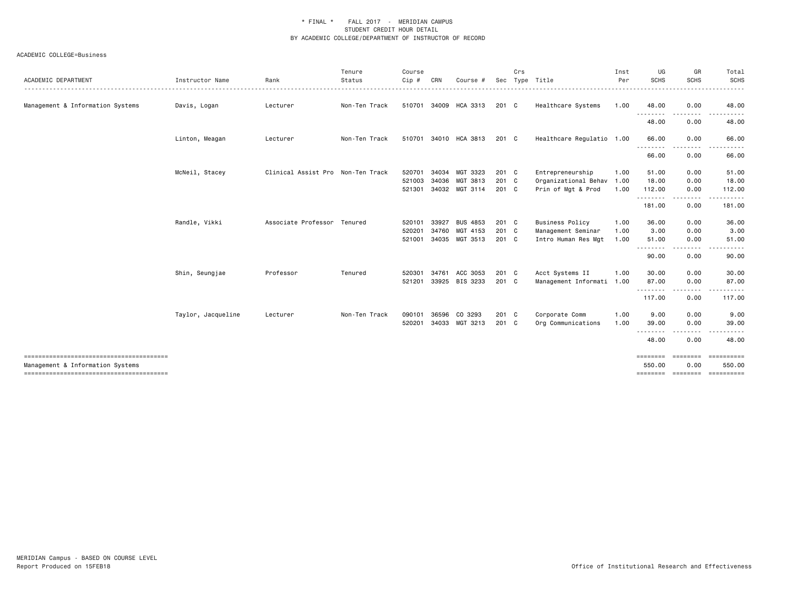| ACADEMIC DEPARTMENT              | Instructor Name    | Rank                              | Tenure<br>Status | Course<br>Cip #            | CRN            | Course #                                           | Sec                       | Crs | Type Title                                                          | Inst<br>Per          | UG<br><b>SCHS</b>                    | GR<br><b>SCHS</b>            | Total<br><b>SCHS</b>                                    |
|----------------------------------|--------------------|-----------------------------------|------------------|----------------------------|----------------|----------------------------------------------------|---------------------------|-----|---------------------------------------------------------------------|----------------------|--------------------------------------|------------------------------|---------------------------------------------------------|
| Management & Information Systems | Davis, Logan       | Lecturer                          | Non-Ten Track    | 510701                     |                | 34009 HCA 3313                                     | 201 C                     |     | Healthcare Systems                                                  | 1.00                 | 48.00                                | 0.00                         | 48.00                                                   |
|                                  |                    |                                   |                  |                            |                |                                                    |                           |     |                                                                     |                      | 48.00                                | 0.00                         | 48.00                                                   |
|                                  | Linton, Meagan     | Lecturer                          | Non-Ten Track    | 510701                     |                | 34010 HCA 3813                                     | 201 C                     |     | Healthcare Regulatio 1.00                                           |                      | 66.00                                | 0.00                         | 66.00                                                   |
|                                  |                    |                                   |                  |                            |                |                                                    |                           |     |                                                                     |                      | 66.00                                | 0.00                         | 66.00                                                   |
|                                  | McNeil, Stacey     | Clinical Assist Pro Non-Ten Track |                  | 520701<br>521003<br>521301 |                | 34034 MGT 3323<br>34036 MGT 3813<br>34032 MGT 3114 | $201$ C<br>201 C<br>201 C |     | Entrepreneurship<br>Organizational Behav 1.00<br>Prin of Mgt & Prod | 1.00<br>1.00         | 51.00<br>18.00<br>112.00             | 0.00<br>0.00<br>0.00         | 51.00<br>18.00<br>112.00                                |
|                                  |                    |                                   |                  |                            |                |                                                    |                           |     |                                                                     |                      | . <u>.</u><br>181.00                 | 0.00                         | 181.00                                                  |
|                                  | Randle, Vikki      | Associate Professor Tenured       |                  | 520101<br>520201<br>521001 | 33927<br>34760 | <b>BUS 4853</b><br>MGT 4153<br>34035 MGT 3513      | 201 C<br>201 C<br>$201$ C |     | <b>Business Policy</b><br>Management Seminar<br>Intro Human Res Mgt | 1.00<br>1.00<br>1.00 | 36.00<br>3.00<br>51.00<br>.<br>90.00 | 0.00<br>0.00<br>0.00<br>0.00 | 36.00<br>3.00<br>51.00<br>90.00                         |
|                                  | Shin, Seungjae     | Professor                         | Tenured          | 520301<br>521201           | 34761          | ACC 3053<br>33925 BIS 3233                         | 201 C<br>201 C            |     | Acct Systems II<br>Management Informati 1.00                        | 1.00                 | 30.00<br>87.00<br>.<br>117.00        | 0.00<br>0.00<br>0.00         | 30.00<br>87.00<br>117.00                                |
|                                  | Taylor, Jacqueline | Lecturer                          | Non-Ten Track    | 090101<br>520201           | 36596          | CO 3293<br>34033 MGT 3213                          | 201 C<br>201 C            |     | Corporate Comm<br>Org Communications                                | 1.00<br>1.00         | 9.00<br>39.00                        | 0.00<br>0.00                 | 9.00<br>39.00                                           |
|                                  |                    |                                   |                  |                            |                |                                                    |                           |     |                                                                     |                      | 48.00                                | 0.00                         | 48.00                                                   |
| Management & Information Systems |                    |                                   |                  |                            |                |                                                    |                           |     |                                                                     |                      | ========<br>550.00                   | ========<br>0.00             | ==========<br>550.00<br>=============================== |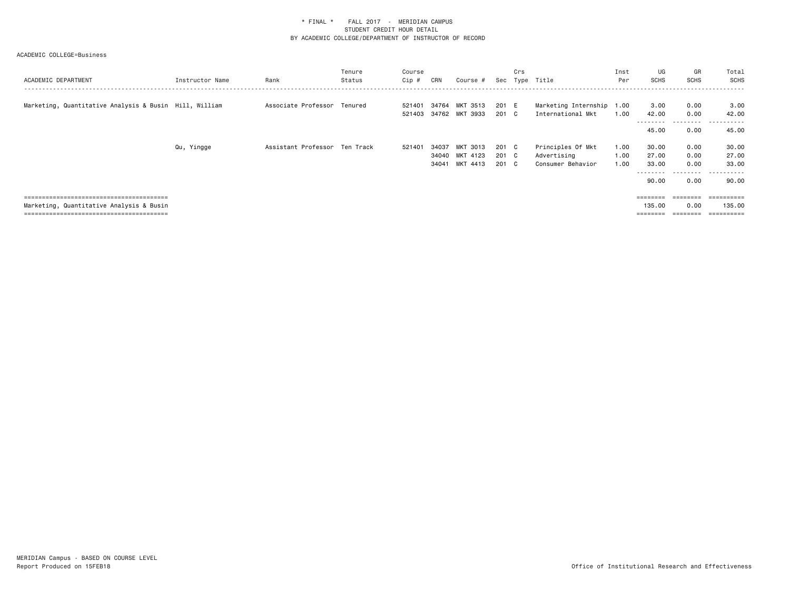| ACADEMIC DEPARTMENT                                    | Instructor Name | Rank                          | Tenure<br>Status | Course<br>Cip # | CRN   | Course #       |       | Crs | Sec Type Title            | Inst<br>Per | UG<br>SCHS     | GR<br>SCHS        | Total<br><b>SCHS</b>  |
|--------------------------------------------------------|-----------------|-------------------------------|------------------|-----------------|-------|----------------|-------|-----|---------------------------|-------------|----------------|-------------------|-----------------------|
| Marketing, Quantitative Analysis & Busin Hill, William |                 | Associate Professor Tenured   |                  | 521401          |       | 34764 MKT 3513 | 201 E |     | Marketing Internship 1.00 |             | 3.00           | 0.00              | 3.00                  |
|                                                        |                 |                               |                  | 521403          |       | 34762 MKT 3933 | 201 C |     | International Mkt         | 1.00        | 42.00          | 0.00              | 42.00                 |
|                                                        |                 |                               |                  |                 |       |                |       |     |                           |             | 45.00          | .<br>0.00         | - - - - - -<br>45.00  |
|                                                        | Qu, Yingge      | Assistant Professor Ten Track |                  | 521401          | 34037 | MKT 3013       | 201 C |     | Principles Of Mkt         | 1.00        | 30.00          | 0.00              | 30.00                 |
|                                                        |                 |                               |                  |                 |       | 34040 MKT 4123 | 201 C |     | Advertising               | 1.00        | 27.00          | 0.00              | 27.00                 |
|                                                        |                 |                               |                  |                 |       | 34041 MKT 4413 | 201 C |     | Consumer Behavior         | 1.00        | 33.00          | 0.00<br>--------- | 33.00<br>.<br>$ -$    |
|                                                        |                 |                               |                  |                 |       |                |       |     |                           |             | 90.00          | 0.00              | 90.00                 |
|                                                        |                 |                               |                  |                 |       |                |       |     |                           |             | <b>EEEEEEE</b> | ========          | <b>CONSIDERED</b>     |
| Marketing, Quantitative Analysis & Busin               |                 |                               |                  |                 |       |                |       |     |                           |             | 135.00         | 0.00              | 135.00                |
|                                                        |                 |                               |                  |                 |       |                |       |     |                           |             |                |                   | $=$ = = = = = = = = = |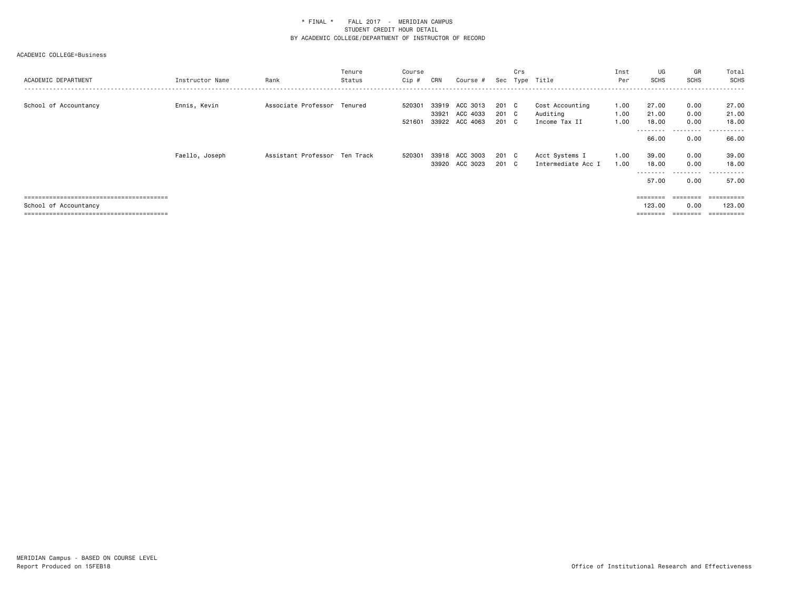| ACADEMIC DEPARTMENT   | Instructor Name | Rank                          | Tenure<br>Status | Course<br>Cip #  | CRN            | Course #                               | Sec                     | Crs | Type Title                                   | Inst<br>Per          | UG<br><b>SCHS</b>                    | GR<br>SCHS                | Total<br><b>SCHS</b>               |
|-----------------------|-----------------|-------------------------------|------------------|------------------|----------------|----------------------------------------|-------------------------|-----|----------------------------------------------|----------------------|--------------------------------------|---------------------------|------------------------------------|
| School of Accountancy | Ennis, Kevin    | Associate Professor Tenured   |                  | 520301<br>521601 | 33919<br>33921 | ACC 3013<br>ACC 4033<br>33922 ACC 4063 | 201 C<br>201 C<br>201 C |     | Cost Accounting<br>Auditing<br>Income Tax II | 1.00<br>1.00<br>1.00 | 27.00<br>21.00<br>18.00              | 0.00<br>0.00<br>0.00      | 27.00<br>21.00<br>18,00            |
|                       |                 |                               |                  |                  |                |                                        |                         |     |                                              |                      | ---------<br>66.00                   | .<br>0.00                 | -------<br>---<br>66.00            |
|                       | Faello, Joseph  | Assistant Professor Ten Track |                  | 520301           | 33918          | ACC 3003<br>33920 ACC 3023             | 201 C<br>201 C          |     | Acct Systems I<br>Intermediate Acc I         | 1.00<br>1.00         | 39.00<br>18.00<br>---------<br>57.00 | 0.00<br>0.00<br>.<br>0.00 | 39.00<br>18,00<br>.<br>57.00       |
| School of Accountancy |                 |                               |                  |                  |                |                                        |                         |     |                                              |                      | ========<br>123.00                   | ========<br>0.00          | ==========<br>123,00<br>========== |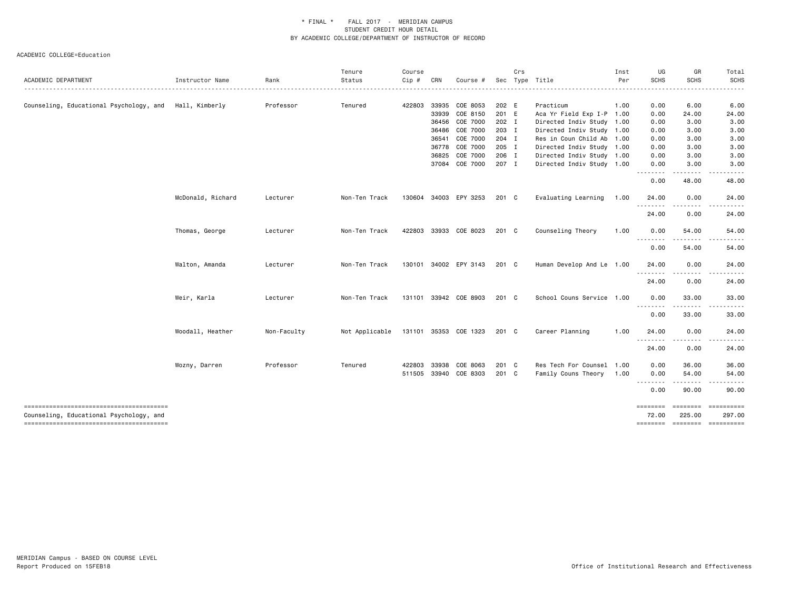| ACADEMIC DEPARTMENT                                    | Instructor Name   | Rank        | Tenure<br>Status | Course<br>Cip # | CRN   | Course #              |         | Crs | Sec Type Title            | Inst<br>Per | UG<br><b>SCHS</b>          | GR<br><b>SCHS</b>  | Total<br><b>SCHS</b>                                                                                                                                                                                                                                                                                                                                                                                                                                                                                                           |
|--------------------------------------------------------|-------------------|-------------|------------------|-----------------|-------|-----------------------|---------|-----|---------------------------|-------------|----------------------------|--------------------|--------------------------------------------------------------------------------------------------------------------------------------------------------------------------------------------------------------------------------------------------------------------------------------------------------------------------------------------------------------------------------------------------------------------------------------------------------------------------------------------------------------------------------|
|                                                        |                   |             |                  |                 |       |                       |         |     |                           |             |                            |                    |                                                                                                                                                                                                                                                                                                                                                                                                                                                                                                                                |
| Counseling, Educational Psychology, and Hall, Kimberly |                   | Professor   | Tenured          | 422803          |       | 33935 COE 8053        | 202 E   |     | Practicum                 | 1.00        | 0.00                       | 6.00               | 6.00                                                                                                                                                                                                                                                                                                                                                                                                                                                                                                                           |
|                                                        |                   |             |                  |                 | 33939 | COE 8150              | 201 E   |     | Aca Yr Field Exp I-P 1.00 |             | 0.00                       | 24.00              | 24.00                                                                                                                                                                                                                                                                                                                                                                                                                                                                                                                          |
|                                                        |                   |             |                  |                 |       | 36456 COE 7000        | 202 I   |     | Directed Indiv Study 1.00 |             | 0.00                       | 3.00               | 3.00                                                                                                                                                                                                                                                                                                                                                                                                                                                                                                                           |
|                                                        |                   |             |                  |                 |       | 36486 COE 7000        | 203 I   |     | Directed Indiv Study 1.00 |             | 0.00                       | 3.00               | 3.00                                                                                                                                                                                                                                                                                                                                                                                                                                                                                                                           |
|                                                        |                   |             |                  |                 |       | 36541 COE 7000        | 204 I   |     | Res in Coun Child Ab 1.00 |             | 0.00                       | 3.00               | 3.00                                                                                                                                                                                                                                                                                                                                                                                                                                                                                                                           |
|                                                        |                   |             |                  |                 |       | 36778 COE 7000        | 205 I   |     | Directed Indiv Study 1.00 |             | 0.00                       | 3.00               | 3.00                                                                                                                                                                                                                                                                                                                                                                                                                                                                                                                           |
|                                                        |                   |             |                  |                 | 36825 | COE 7000              | 206 I   |     | Directed Indiv Study 1.00 |             | 0.00                       | 3.00               | 3.00                                                                                                                                                                                                                                                                                                                                                                                                                                                                                                                           |
|                                                        |                   |             |                  |                 |       | 37084 COE 7000        | 207 I   |     | Directed Indiv Study 1.00 |             | 0.00                       | 3.00<br>----       | 3.00                                                                                                                                                                                                                                                                                                                                                                                                                                                                                                                           |
|                                                        |                   |             |                  |                 |       |                       |         |     |                           |             | 0.00                       | 48.00              | 48.00                                                                                                                                                                                                                                                                                                                                                                                                                                                                                                                          |
|                                                        | McDonald, Richard | Lecturer    | Non-Ten Track    |                 |       | 130604 34003 EPY 3253 | 201 C   |     | Evaluating Learning       | 1.00        | 24.00                      | 0.00               | 24.00                                                                                                                                                                                                                                                                                                                                                                                                                                                                                                                          |
|                                                        |                   |             |                  |                 |       |                       |         |     |                           |             | 24.00                      | 0.00               | 24.00                                                                                                                                                                                                                                                                                                                                                                                                                                                                                                                          |
|                                                        | Thomas, George    | Lecturer    | Non-Ten Track    |                 |       | 422803 33933 COE 8023 | 201 C   |     | Counseling Theory         | 1.00        | 0.00<br>.                  | 54.00              | 54.00                                                                                                                                                                                                                                                                                                                                                                                                                                                                                                                          |
|                                                        |                   |             |                  |                 |       |                       |         |     |                           |             | 0.00                       | 54.00              | 54.00                                                                                                                                                                                                                                                                                                                                                                                                                                                                                                                          |
|                                                        | Walton, Amanda    | Lecturer    | Non-Ten Track    | 130101          |       | 34002 EPY 3143        | 201 C   |     | Human Develop And Le 1.00 |             | 24.00<br>--------          | 0.00               | 24.00                                                                                                                                                                                                                                                                                                                                                                                                                                                                                                                          |
|                                                        |                   |             |                  |                 |       |                       |         |     |                           |             | 24.00                      | 0.00               | 24.00                                                                                                                                                                                                                                                                                                                                                                                                                                                                                                                          |
|                                                        | Weir, Karla       | Lecturer    | Non-Ten Track    |                 |       | 131101 33942 COE 8903 | $201$ C |     | School Couns Service 1.00 |             | 0.00<br><u>.</u>           | 33.00              | 33.00                                                                                                                                                                                                                                                                                                                                                                                                                                                                                                                          |
|                                                        |                   |             |                  |                 |       |                       |         |     |                           |             | 0.00                       | 33.00              | 33.00                                                                                                                                                                                                                                                                                                                                                                                                                                                                                                                          |
|                                                        | Woodall, Heather  | Non-Faculty | Not Applicable   |                 |       | 131101 35353 COE 1323 | 201 C   |     | Career Planning           | 1.00        | 24.00<br><u>.</u>          | 0.00               | 24.00                                                                                                                                                                                                                                                                                                                                                                                                                                                                                                                          |
|                                                        |                   |             |                  |                 |       |                       |         |     |                           |             | 24.00                      | 0.00               | 24.00                                                                                                                                                                                                                                                                                                                                                                                                                                                                                                                          |
|                                                        | Wozny, Darren     | Professor   | Tenured          | 422803          | 33938 | COE 8063              | 201 C   |     | Res Tech For Counsel 1.00 |             | 0.00                       | 36.00              | 36.00                                                                                                                                                                                                                                                                                                                                                                                                                                                                                                                          |
|                                                        |                   |             |                  | 511505          |       | 33940 COE 8303        | $201$ C |     | Family Couns Theory       | 1.00        | 0.00                       | 54.00              | 54.00                                                                                                                                                                                                                                                                                                                                                                                                                                                                                                                          |
|                                                        |                   |             |                  |                 |       |                       |         |     |                           |             | 0.00                       | 90.00              | 90.00                                                                                                                                                                                                                                                                                                                                                                                                                                                                                                                          |
| Counseling, Educational Psychology, and                |                   |             |                  |                 |       |                       |         |     |                           |             | $=$ = = = = = = =<br>72.00 | ========<br>225.00 | $\begin{array}{cccccccccc} \multicolumn{3}{c}{} & \multicolumn{3}{c}{} & \multicolumn{3}{c}{} & \multicolumn{3}{c}{} & \multicolumn{3}{c}{} & \multicolumn{3}{c}{} & \multicolumn{3}{c}{} & \multicolumn{3}{c}{} & \multicolumn{3}{c}{} & \multicolumn{3}{c}{} & \multicolumn{3}{c}{} & \multicolumn{3}{c}{} & \multicolumn{3}{c}{} & \multicolumn{3}{c}{} & \multicolumn{3}{c}{} & \multicolumn{3}{c}{} & \multicolumn{3}{c}{} & \multicolumn{3}{c}{} & \multicolumn{3}{c}{} & \mult$<br>297.00<br>-------- ------- --------- |
|                                                        |                   |             |                  |                 |       |                       |         |     |                           |             |                            |                    |                                                                                                                                                                                                                                                                                                                                                                                                                                                                                                                                |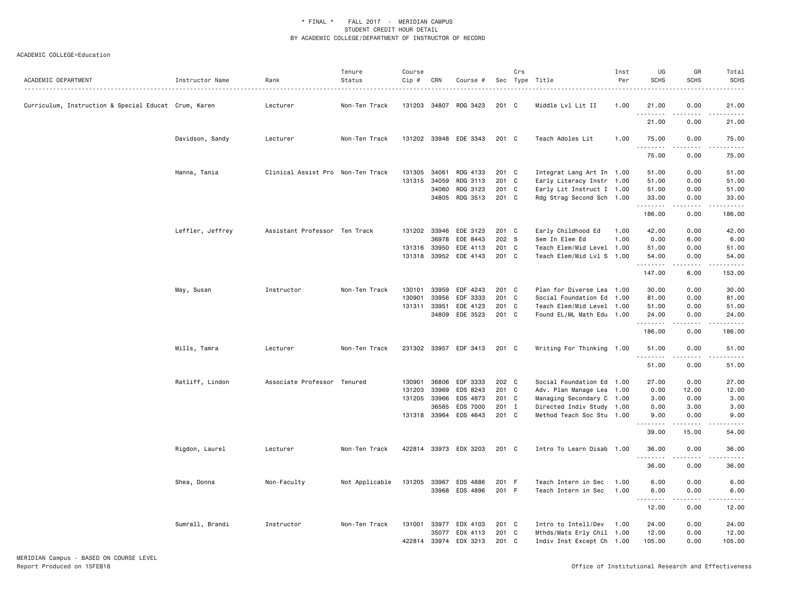| ACADEMIC DEPARTMENT                                  | Instructor Name  | Rank                              | Tenure<br>Status | Course<br>Cip # | CRN   | Course #              |         | Crs | Sec Type Title            | Inst<br>Per | UG<br><b>SCHS</b> | GR<br>SCHS                     | Total<br><b>SCHS</b>   |
|------------------------------------------------------|------------------|-----------------------------------|------------------|-----------------|-------|-----------------------|---------|-----|---------------------------|-------------|-------------------|--------------------------------|------------------------|
| Curriculum, Instruction & Special Educat Crum, Karen |                  | Lecturer                          | Non-Ten Track    | 131203 34807    |       | RDG 3423              | 201 C   |     | Middle Lvl Lit II         | 1.00        | 21.00<br>.        | 0.00<br>$\frac{1}{2}$          | 21.00<br>$\frac{1}{2}$ |
|                                                      |                  |                                   |                  |                 |       |                       |         |     |                           |             | 21.00             | 0.00                           | 21.00                  |
|                                                      | Davidson, Sandy  | Lecturer                          | Non-Ten Track    |                 |       | 131202 33948 EDE 3343 | 201 C   |     | Teach Adoles Lit          | 1.00        | 75.00<br>.        | 0.00<br>.                      | 75.00                  |
|                                                      |                  |                                   |                  |                 |       |                       |         |     |                           |             | 75.00             | 0.00                           | 75.00                  |
|                                                      | Hanna, Tania     | Clinical Assist Pro Non-Ten Track |                  | 131305          | 34061 | RDG 4133              | 201 C   |     | Integrat Lang Art In 1.00 |             | 51.00             | 0.00                           | 51.00                  |
|                                                      |                  |                                   |                  | 131315          | 34059 | RDG 3113              | 201 C   |     | Early Literacy Instr 1.00 |             | 51.00             | 0.00                           | 51.00                  |
|                                                      |                  |                                   |                  |                 | 34060 | RDG 3123              | 201 C   |     | Early Lit Instruct I 1.00 |             | 51.00             | 0.00                           | 51.00                  |
|                                                      |                  |                                   |                  |                 |       | 34805 RDG 3513        | 201 C   |     | Rdg Strag Second Sch 1.00 |             | 33.00<br>.        | 0.00<br>.                      | 33.00<br>.             |
|                                                      |                  |                                   |                  |                 |       |                       |         |     |                           |             | 186.00            | 0.00                           | 186.00                 |
|                                                      | Leffler, Jeffrey | Assistant Professor Ten Track     |                  |                 |       | 131202 33946 EDE 3123 | 201 C   |     | Early Childhood Ed        | 1.00        | 42.00             | 0.00                           | 42.00                  |
|                                                      |                  |                                   |                  |                 | 36978 | EDE 8443              | 202 S   |     | Sem In Elem Ed            | 1.00        | 0.00              | 6.00                           | 6.00                   |
|                                                      |                  |                                   |                  | 131316          | 33950 | EDE 4113              | 201 C   |     | Teach Elem/Mid Level 1.00 |             | 51.00             | 0.00                           | 51.00                  |
|                                                      |                  |                                   |                  |                 |       | 131318 33952 EDE 4143 | 201 C   |     | Teach Elem/Mid Lvl S 1.00 |             | 54.00<br>.        | 0.00<br>$\omega$ is a $\omega$ | 54.00<br>.             |
|                                                      |                  |                                   |                  |                 |       |                       |         |     |                           |             | 147.00            | 6.00                           | 153.00                 |
|                                                      | May, Susan       | Instructor                        | Non-Ten Track    | 130101          | 33959 | EDF 4243              | 201 C   |     | Plan for Diverse Lea 1.00 |             | 30.00             | 0.00                           | 30.00                  |
|                                                      |                  |                                   |                  | 130901          | 33956 | EDF 3333              | 201 C   |     | Social Foundation Ed 1.00 |             | 81.00             | 0.00                           | 81.00                  |
|                                                      |                  |                                   |                  | 131311 33951    |       | EDE 4123              | 201 C   |     | Teach Elem/Mid Level 1.00 |             | 51.00             | 0.00                           | 51.00                  |
|                                                      |                  |                                   |                  |                 | 34809 | EDE 3523              | 201 C   |     | Found EL/ML Math Edu 1.00 |             | 24.00             | 0.00                           | 24.00                  |
|                                                      |                  |                                   |                  |                 |       |                       |         |     |                           |             | .<br>186.00       | .<br>0.00                      | .<br>186.00            |
|                                                      | Mills, Tamra     | Lecturer                          | Non-Ten Track    |                 |       | 231302 33957 EDF 3413 | $201$ C |     | Writing For Thinking 1.00 |             | 51.00<br><u>.</u> | 0.00                           | 51.00                  |
|                                                      |                  |                                   |                  |                 |       |                       |         |     |                           |             | 51.00             | 0.00                           | 51.00                  |
|                                                      | Ratliff, Lindon  | Associate Professor Tenured       |                  | 130901          | 36806 | EDF 3333              | 202 C   |     | Social Foundation Ed 1.00 |             | 27.00             | 0.00                           | 27.00                  |
|                                                      |                  |                                   |                  | 131203          | 33969 | EDS 8243              | 201 C   |     | Adv. Plan Manage Lea 1.00 |             | 0.00              | 12.00                          | 12.00                  |
|                                                      |                  |                                   |                  | 131205          | 33966 | EDS 4873              | 201 C   |     | Managing Secondary C 1.00 |             | 3.00              | 0.00                           | 3.00                   |
|                                                      |                  |                                   |                  |                 | 36565 | <b>EDS 7000</b>       | 201 I   |     | Directed Indiv Study 1.00 |             | 0.00              | 3.00                           | 3.00                   |
|                                                      |                  |                                   |                  |                 |       | 131318 33964 EDS 4643 | 201 C   |     | Method Teach Soc Stu 1.00 |             | 9.00              | 0.00                           | 9.00                   |
|                                                      |                  |                                   |                  |                 |       |                       |         |     |                           |             | 39.00             | 15.00                          | 54.00                  |
|                                                      | Rigdon, Laurel   | Lecturer                          | Non-Ten Track    |                 |       | 422814 33973 EDX 3203 | 201 C   |     | Intro To Learn Disab 1.00 |             | 36.00             | 0.00                           | 36.00                  |
|                                                      |                  |                                   |                  |                 |       |                       |         |     |                           |             | 36.00             | 0.00                           | 36.00                  |
|                                                      | Shea, Donna      | Non-Faculty                       | Not Applicable   | 131205          | 33967 | EDS 4886              | 201 F   |     | Teach Intern in Sec       | 1.00        | 6.00              | 0.00                           | 6.00                   |
|                                                      |                  |                                   |                  |                 |       | 33968 EDS 4896        | 201 F   |     | Teach Intern in Sec       | 1.00        | 6.00              | 0.00                           | 6.00                   |
|                                                      |                  |                                   |                  |                 |       |                       |         |     |                           |             | 12.00             | 0.00                           | 12.00                  |
|                                                      | Sumrall, Brandi  | Instructor                        | Non-Ten Track    | 131001 33977    |       | EDX 4103              | 201 C   |     | Intro to Intell/Dev       | 1.00        | 24.00             | 0.00                           | 24.00                  |
|                                                      |                  |                                   |                  |                 | 35077 | EDX 4113              | 201 C   |     | Mthds/Mats Erly Chil 1.00 |             | 12.00             | 0.00                           | 12.00                  |
|                                                      |                  |                                   |                  | 422814          | 33974 | EDX 3213              | 201 C   |     | Indiv Inst Except Ch 1.00 |             | 105.00            | 0.00                           | 105.00                 |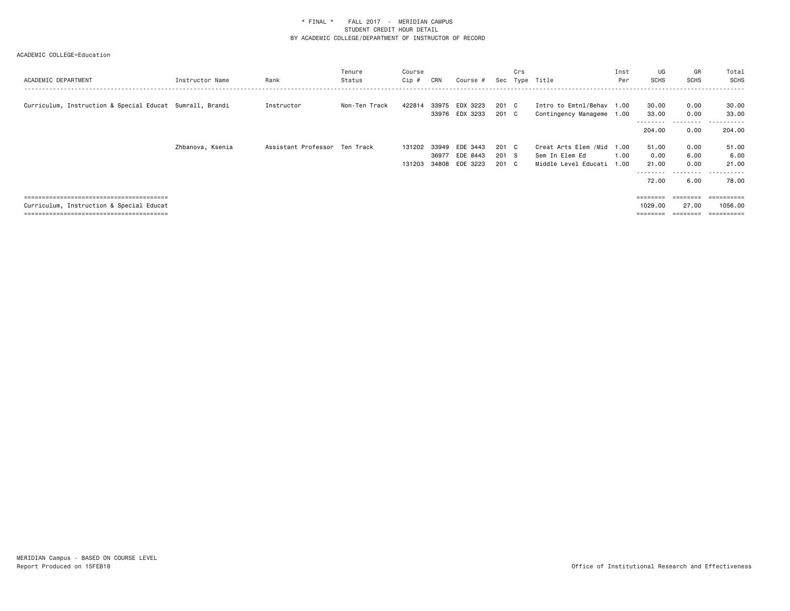| ACADEMIC DEPARTMENT                                      | Instructor Name  | Rank                          | Tenure<br>Status | Course<br>Cip # | CRN   | Course #                   | Sec            | Crs | Type Title                                             | Inst<br>Per | UG<br>SCHS                 | GR<br><b>SCHS</b>         | Total<br><b>SCHS</b>     |
|----------------------------------------------------------|------------------|-------------------------------|------------------|-----------------|-------|----------------------------|----------------|-----|--------------------------------------------------------|-------------|----------------------------|---------------------------|--------------------------|
| Curriculum, Instruction & Special Educat Sumrall, Brandi |                  | Instructor                    | Non-Ten Track    | 422814          | 33975 | EDX 3223<br>33976 EDX 3233 | 201 C<br>201 C |     | Intro to Emtnl/Behav 1.00<br>Contingency Manageme 1.00 |             | 30.00<br>33.00<br>-------- | 0.00<br>0.00<br>--------- | 30.00<br>33.00<br>------ |
|                                                          |                  |                               |                  |                 |       |                            |                |     |                                                        |             | 204.00                     | 0.00                      | 204.00                   |
|                                                          | Zhbanova, Ksenia | Assistant Professor Ten Track |                  | 131202          | 33949 | EDE 3443                   | 201 C          |     | Creat Arts Elem /Mid                                   | 1.00        | 51.00                      | 0.00                      | 51.00                    |
|                                                          |                  |                               |                  |                 | 36977 | EDE 8443                   | 201 S          |     | Sem In Elem Ed                                         | 1.00        | 0.00                       | 6.00                      | 6.00                     |
|                                                          |                  |                               |                  | 131203          | 34808 | EDE 3223                   | 201 C          |     | Middle Level Educati 1.00                              |             | 21.00                      | 0.00                      | 21.00                    |
|                                                          |                  |                               |                  |                 |       |                            |                |     |                                                        |             | --------                   | .                         | ------<br>$- - -$        |
|                                                          |                  |                               |                  |                 |       |                            |                |     |                                                        |             | 72.00                      | 6.00                      | 78.00                    |
|                                                          |                  |                               |                  |                 |       |                            |                |     |                                                        |             |                            |                           |                          |
|                                                          |                  |                               |                  |                 |       |                            |                |     |                                                        |             | ========                   | ========                  | ==========               |
| Curriculum, Instruction & Special Educat                 |                  |                               |                  |                 |       |                            |                |     |                                                        |             | 1029.00                    | 27.00                     | 1056.00                  |
|                                                          |                  |                               |                  |                 |       |                            |                |     |                                                        |             | $=$ = = = = = = =          | ========                  | ==========               |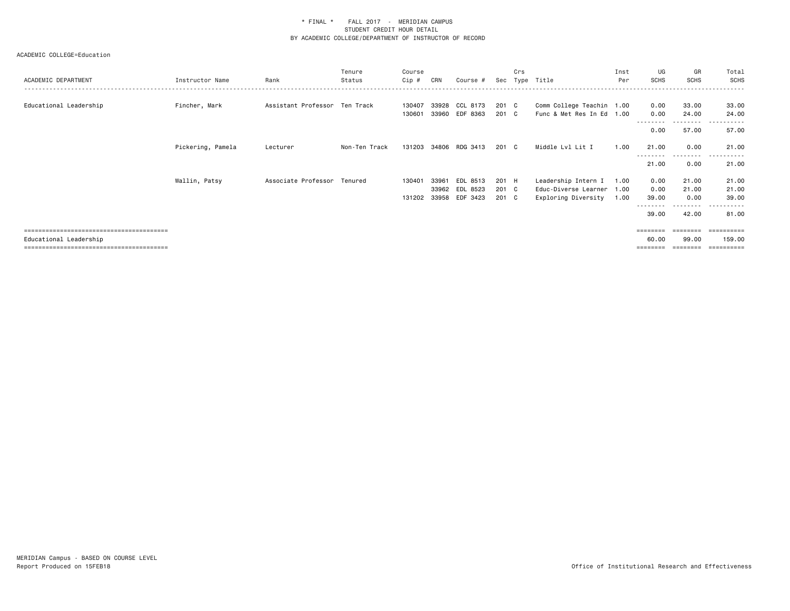| ACADEMIC DEPARTMENT    | Instructor Name   | Rank                          | Tenure<br>Status | Course<br>Cip # | CRN   | Course #       | Sec   | Crs | Type Title                | Inst<br>Per | UG<br><b>SCHS</b> | GR<br><b>SCHS</b>  | Total<br>SCHS        |
|------------------------|-------------------|-------------------------------|------------------|-----------------|-------|----------------|-------|-----|---------------------------|-------------|-------------------|--------------------|----------------------|
| Educational Leadership | Fincher, Mark     | Assistant Professor Ten Track |                  | 130407          | 33928 | CCL 8173       | 201 C |     | Comm College Teachin 1.00 |             | 0.00              | 33.00              | 33.00                |
|                        |                   |                               |                  | 130601          |       | 33960 EDF 8363 | 201 C |     | Func & Met Res In Ed 1.00 |             | 0.00              | 24.00              | 24.00                |
|                        |                   |                               |                  |                 |       |                |       |     |                           |             | 0.00              | ---------<br>57.00 | .<br>57.00           |
|                        | Pickering, Pamela | Lecturer                      | Non-Ten Track    | 131203          |       | 34806 RDG 3413 | 201 C |     | Middle Lvl Lit I          | 1.00        | 21.00             | 0.00<br>---------  | 21.00<br>------<br>. |
|                        |                   |                               |                  |                 |       |                |       |     |                           |             | 21.00             | 0.00               | 21.00                |
|                        | Wallin, Patsy     | Associate Professor           | Tenured          | 130401          | 33961 | EDL 8513       | 201 H |     | Leadership Intern I       | 1.00        | 0.00              | 21.00              | 21.00                |
|                        |                   |                               |                  |                 | 33962 | EDL 8523       | 201 C |     | Educ-Diverse Learner      | 1.00        | 0.00              | 21.00              | 21.00                |
|                        |                   |                               |                  | 131202          |       | 33958 EDF 3423 | 201 C |     | Exploring Diversity       | 1.00        | 39.00             | 0.00               | 39.00                |
|                        |                   |                               |                  |                 |       |                |       |     |                           |             | 39.00             | .<br>42.00         | 81.00                |
|                        |                   |                               |                  |                 |       |                |       |     |                           |             |                   |                    | ==========           |
| Educational Leadership |                   |                               |                  |                 |       |                |       |     |                           |             | 60.00             | 99.00              | 159.00               |
|                        |                   |                               |                  |                 |       |                |       |     |                           |             | ========          | ========           | ___________          |